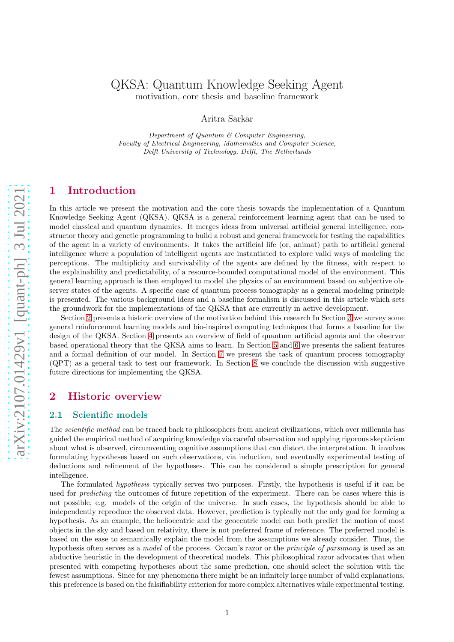# QKSA: Quantum Knowledge Seeking Agent motivation, core thesis and baseline framework

Aritra Sarkar

Department of Quantum & Computer Engineering, Faculty of Electrical Engineering, Mathematics and Computer Science, Delft University of Technology, Delft, The Netherlands

# 1 Introduction

In this article we present the motivation and the core thesis towards the implementation of a Quantum Knowledge Seeking Agent (QKSA). QKSA is a general reinforcement learning agent that can be used to model classical and quantum dynamics. It merges ideas from universal artificial general intelligence, constructor theory and genetic programming to build a robust and general framework for testing the capabilities of the agent in a variety of environments. It takes the artificial life (or, animat) path to artificial general intelligence where a population of intelligent agents are instantiated to explore valid ways of modeling the perceptions. The multiplicity and survivability of the agents are defined by the fitness, with respect to the explainability and predictability, of a resource-bounded computational model of the environment. This general learning approach is then employed to model the physics of an environment based on subjective observer states of the agents. A specific case of quantum process tomography as a general modeling principle is presented. The various background ideas and a baseline formalism is discussed in this article which sets the groundwork for the implementations of the QKSA that are currently in active development.

Section [2](#page-0-0) presents a historic overview of the motivation behind this research In Section [3](#page-2-0) we survey some general reinforcement learning models and bio-inspired computing techniques that forms a baseline for the design of the QKSA. Section [4](#page-8-0) presents an overview of field of quantum artificial agents and the observer based operational theory that the QKSA aims to learn. In Section [5](#page-9-0) and [6](#page-12-0) we presents the salient features and a formal definition of our model. In Section [7](#page-14-0) we present the task of quantum process tomography (QPT) as a general task to test our framework. In Section [8](#page-18-0) we conclude the discussion with suggestive future directions for implementing the QKSA.

# <span id="page-0-0"></span>2 Historic overview

## 2.1 Scientific models

The *scientific method* can be traced back to philosophers from ancient civilizations, which over millennia has guided the empirical method of acquiring knowledge via careful observation and applying rigorous skepticism about what is observed, circumventing cognitive assumptions that can distort the interpretation. It involves formulating hypotheses based on such observations, via induction, and eventually experimental testing of deductions and refinement of the hypotheses. This can be considered a simple prescription for general intelligence.

The formulated *hypothesis* typically serves two purposes. Firstly, the hypothesis is useful if it can be used for *predicting* the outcomes of future repetition of the experiment. There can be cases where this is not possible, e.g. models of the origin of the universe. In such cases, the hypothesis should be able to independently reproduce the observed data. However, prediction is typically not the only goal for forming a hypothesis. As an example, the heliocentric and the geocentric model can both predict the motion of most objects in the sky and based on relativity, there is not preferred frame of reference. The preferred model is based on the ease to semantically explain the model from the assumptions we already consider. Thus, the hypothesis often serves as a *model* of the process. Occam's razor or the *principle of parsimony* is used as an abductive heuristic in the development of theoretical models. This philosophical razor advocates that when presented with competing hypotheses about the same prediction, one should select the solution with the fewest assumptions. Since for any phenomena there might be an infinitely large number of valid explanations, this preference is based on the falsifiability criterion for more complex alternatives while experimental testing.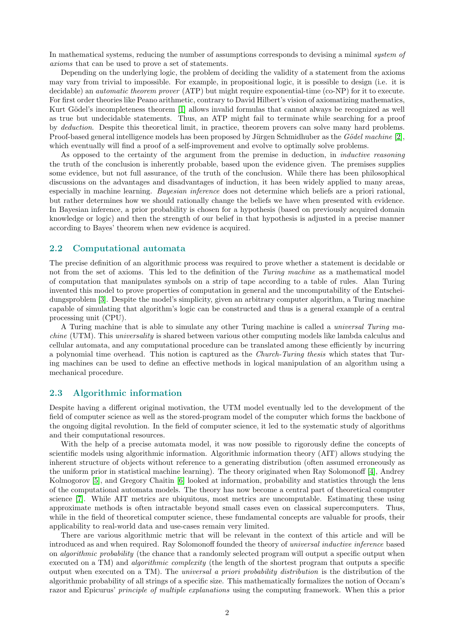In mathematical systems, reducing the number of assumptions corresponds to devising a minimal *system of axioms* that can be used to prove a set of statements.

Depending on the underlying logic, the problem of deciding the validity of a statement from the axioms may vary from trivial to impossible. For example, in propositional logic, it is possible to design (i.e. it is decidable) an *automatic theorem prover* (ATP) but might require exponential-time (co-NP) for it to execute. For first order theories like Peano arithmetic, contrary to David Hilbert's vision of axiomatizing mathematics, Kurt Gödel's incompleteness theorem [\[1\]](#page-19-0) allows invalid formulas that cannot always be recognized as well as true but undecidable statements. Thus, an ATP might fail to terminate while searching for a proof by *deduction*. Despite this theoretical limit, in practice, theorem provers can solve many hard problems. Proof-based general intelligence models has been proposed by Jürgen Schmidhuber as the *Gödel machine* [\[2\]](#page-19-1), which eventually will find a proof of a self-improvement and evolve to optimally solve problems.

As opposed to the certainty of the argument from the premise in deduction, in *inductive reasoning* the truth of the conclusion is inherently probable, based upon the evidence given. The premises supplies some evidence, but not full assurance, of the truth of the conclusion. While there has been philosophical discussions on the advantages and disadvantages of induction, it has been widely applied to many areas, especially in machine learning. *Bayesian inference* does not determine which beliefs are a priori rational, but rather determines how we should rationally change the beliefs we have when presented with evidence. In Bayesian inference, a prior probability is chosen for a hypothesis (based on previously acquired domain knowledge or logic) and then the strength of our belief in that hypothesis is adjusted in a precise manner according to Bayes' theorem when new evidence is acquired.

## 2.2 Computational automata

The precise definition of an algorithmic process was required to prove whether a statement is decidable or not from the set of axioms. This led to the definition of the *Turing machine* as a mathematical model of computation that manipulates symbols on a strip of tape according to a table of rules. Alan Turing invented this model to prove properties of computation in general and the uncomputability of the Entscheidungsproblem [\[3\]](#page-19-2). Despite the model's simplicity, given an arbitrary computer algorithm, a Turing machine capable of simulating that algorithm's logic can be constructed and thus is a general example of a central processing unit (CPU).

A Turing machine that is able to simulate any other Turing machine is called a *universal Turing machine* (UTM). This *universality* is shared between various other computing models like lambda calculus and cellular automata, and any computational procedure can be translated among these efficiently by incurring a polynomial time overhead. This notion is captured as the *Church-Turing thesis* which states that Turing machines can be used to define an effective methods in logical manipulation of an algorithm using a mechanical procedure.

## 2.3 Algorithmic information

Despite having a different original motivation, the UTM model eventually led to the development of the field of computer science as well as the stored-program model of the computer which forms the backbone of the ongoing digital revolution. In the field of computer science, it led to the systematic study of algorithms and their computational resources.

With the help of a precise automata model, it was now possible to rigorously define the concepts of scientific models using algorithmic information. Algorithmic information theory (AIT) allows studying the inherent structure of objects without reference to a generating distribution (often assumed erroneously as the uniform prior in statistical machine learning). The theory originated when Ray Solomonoff [\[4\]](#page-19-3), Andrey Kolmogorov [\[5\]](#page-19-4), and Gregory Chaitin [\[6\]](#page-19-5) looked at information, probability and statistics through the lens of the computational automata models. The theory has now become a central part of theoretical computer science [\[7\]](#page-19-6). While AIT metrics are ubiquitous, most metrics are uncomputable. Estimating these using approximate methods is often intractable beyond small cases even on classical supercomputers. Thus, while in the field of theoretical computer science, these fundamental concepts are valuable for proofs, their applicability to real-world data and use-cases remain very limited.

There are various algorithmic metric that will be relevant in the context of this article and will be introduced as and when required. Ray Solomonoff founded the theory of *universal inductive inference* based on *algorithmic probability* (the chance that a randomly selected program will output a specific output when executed on a TM) and *algorithmic complexity* (the length of the shortest program that outputs a specific output when executed on a TM). The *universal a priori probability distribution* is the distribution of the algorithmic probability of all strings of a specific size. This mathematically formalizes the notion of Occam's razor and Epicurus' *principle of multiple explanations* using the computing framework. When this a prior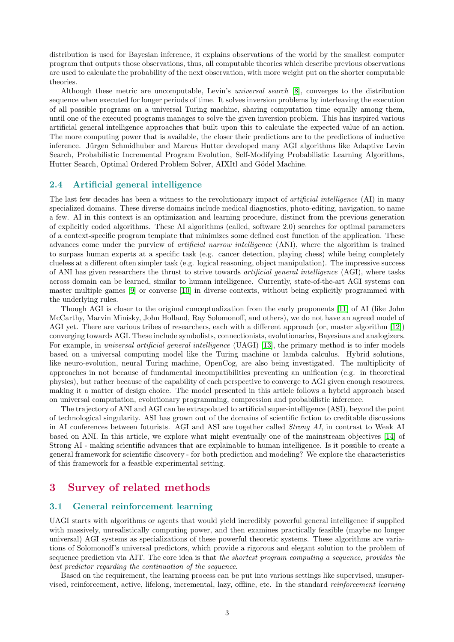distribution is used for Bayesian inference, it explains observations of the world by the smallest computer program that outputs those observations, thus, all computable theories which describe previous observations are used to calculate the probability of the next observation, with more weight put on the shorter computable theories.

Although these metric are uncomputable, Levin's *universal search* [\[8\]](#page-19-7), converges to the distribution sequence when executed for longer periods of time. It solves inversion problems by interleaving the execution of all possible programs on a universal Turing machine, sharing computation time equally among them, until one of the executed programs manages to solve the given inversion problem. This has inspired various artificial general intelligence approaches that built upon this to calculate the expected value of an action. The more computing power that is available, the closer their predictions are to the predictions of inductive inference. Jürgen Schmidhuber and Marcus Hutter developed many AGI algorithms like Adaptive Levin Search, Probabilistic Incremental Program Evolution, Self-Modifying Probabilistic Learning Algorithms, Hutter Search, Optimal Ordered Problem Solver, AIXItl and Gödel Machine.

#### 2.4 Artificial general intelligence

The last few decades has been a witness to the revolutionary impact of *artificial intelligence* (AI) in many specialized domains. These diverse domains include medical diagnostics, photo-editing, navigation, to name a few. AI in this context is an optimization and learning procedure, distinct from the previous generation of explicitly coded algorithms. These AI algorithms (called, software 2.0) searches for optimal parameters of a context-specific program template that minimizes some defined cost function of the application. These advances come under the purview of *artificial narrow intelligence* (ANI), where the algorithm is trained to surpass human experts at a specific task (e.g. cancer detection, playing chess) while being completely clueless at a different often simpler task (e.g. logical reasoning, object manipulation). The impressive success of ANI has given researchers the thrust to strive towards *artificial general intelligence* (AGI), where tasks across domain can be learned, similar to human intelligence. Currently, state-of-the-art AGI systems can master multiple games [\[9\]](#page-19-8) or converse [\[10\]](#page-19-9) in diverse contexts, without being explicitly programmed with the underlying rules.

Though AGI is closer to the original conceptualization from the early proponents [\[11\]](#page-19-10) of AI (like John McCarthy, Marvin Minisky, John Holland, Ray Solomonoff, and others), we do not have an agreed model of AGI yet. There are various tribes of researchers, each with a different approach (or, master algorithm [\[12\]](#page-19-11)) converging towards AGI. These include symbolists, connectionists, evolutionaries, Bayesians and analogizers. For example, in *universal artificial general intelligence* (UAGI) [\[13\]](#page-19-12), the primary method is to infer models based on a universal computing model like the Turing machine or lambda calculus. Hybrid solutions, like neuro-evolution, neural Turing machine, OpenCog, are also being investigated. The multiplicity of approaches in not because of fundamental incompatibilities preventing an unification (e.g. in theoretical physics), but rather because of the capability of each perspective to converge to AGI given enough resources, making it a matter of design choice. The model presented in this article follows a hybrid approach based on universal computation, evolutionary programming, compression and probabilistic inference.

The trajectory of ANI and AGI can be extrapolated to artificial super-intelligence (ASI), beyond the point of technological singularity. ASI has grown out of the domains of scientific fiction to creditable discussions in AI conferences between futurists. AGI and ASI are together called *Strong AI*, in contrast to Weak AI based on ANI. In this article, we explore what might eventually one of the mainstream objectives [\[14\]](#page-19-13) of Strong AI - making scientific advances that are explainable to human intelligence. Is it possible to create a general framework for scientific discovery - for both prediction and modeling? We explore the characteristics of this framework for a feasible experimental setting.

# <span id="page-2-0"></span>3 Survey of related methods

#### 3.1 General reinforcement learning

UAGI starts with algorithms or agents that would yield incredibly powerful general intelligence if supplied with massively, unrealistically computing power, and then examines practically feasible (maybe no longer universal) AGI systems as specializations of these powerful theoretic systems. These algorithms are variations of Solomonoff's universal predictors, which provide a rigorous and elegant solution to the problem of sequence prediction via AIT. The core idea is that *the shortest program computing a sequence, provides the best predictor regarding the continuation of the sequence*.

Based on the requirement, the learning process can be put into various settings like supervised, unsupervised, reinforcement, active, lifelong, incremental, lazy, offline, etc. In the standard *reinforcement learning*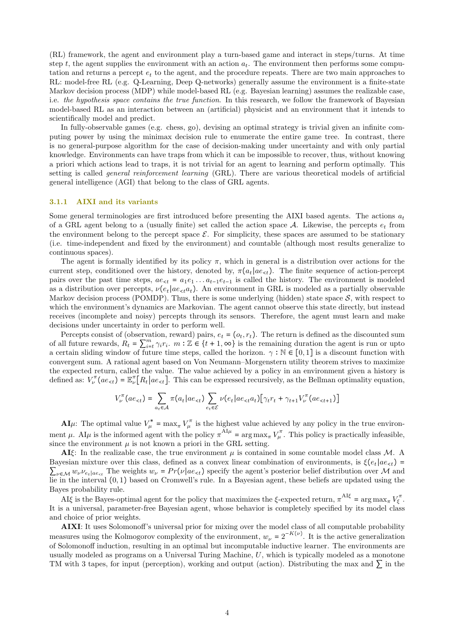(RL) framework, the agent and environment play a turn-based game and interact in steps/turns. At time step t, the agent supplies the environment with an action  $a_t$ . The environment then performs some computation and returns a percept  $e_t$  to the agent, and the procedure repeats. There are two main approaches to RL: model-free RL (e.g. Q-Learning, Deep Q-networks) generally assume the environment is a finite-state Markov decision process (MDP) while model-based RL (e.g. Bayesian learning) assumes the realizable case, i.e. *the hypothesis space contains the true function*. In this research, we follow the framework of Bayesian model-based RL as an interaction between an (artificial) physicist and an environment that it intends to scientifically model and predict.

In fully-observable games (e.g. chess, go), devising an optimal strategy is trivial given an infinite computing power by using the minimax decision rule to enumerate the entire game tree. In contrast, there is no general-purpose algorithm for the case of decision-making under uncertainty and with only partial knowledge. Environments can have traps from which it can be impossible to recover, thus, without knowing a priori which actions lead to traps, it is not trivial for an agent to learning and perform optimally. This setting is called *general reinforcement learning* (GRL). There are various theoretical models of artificial general intelligence (AGI) that belong to the class of GRL agents.

#### 3.1.1 AIXI and its variants

Some general terminologies are first introduced before presenting the AIXI based agents. The actions  $a_t$ of a GRL agent belong to a (usually finite) set called the action space  $A$ . Likewise, the percepts  $e_t$  from the environment belong to the percept space  $\mathcal{E}$ . For simplicity, these spaces are assumed to be stationary (i.e. time-independent and fixed by the environment) and countable (although most results generalize to continuous spaces).

The agent is formally identified by its policy  $\pi$ , which in general is a distribution over actions for the current step, conditioned over the history, denoted by,  $\pi(a_t|ae_{\leq t})$ . The finite sequence of action-percept pairs over the past time steps,  $ae_{\leq t} = a_1e_1 \ldots a_{t-1}e_{t-1}$  is called the history. The environment is modeled as a distribution over percepts,  $\nu(e_t|ae_{\leq t}a_t)$ . An environment in GRL is modeled as a partially observable Markov decision process (POMDP). Thus, there is some underlying (hidden) state space  $S$ , with respect to which the environment's dynamics are Markovian. The agent cannot observe this state directly, but instead receives (incomplete and noisy) percepts through its sensors. Therefore, the agent must learn and make decisions under uncertainty in order to perform well.

Percepts consist of (observation, reward) pairs,  $e_t = (o_t, r_t)$ . The return is defined as the discounted sum of all future rewards,  $R_t = \sum_{i=t}^{m} \gamma_i r_i$ .  $m : \mathbb{Z} \in \{t+1, \infty\}$  is the remaining duration the agent is run or upto a certain sliding window of future time steps, called the horizon.  $\gamma : \mathbb{N} \in [0,1]$  is a discount function with convergent sum. A rational agent based on Von Neumann–Morgenstern utility theorem strives to maximize the expected return, called the value. The value achieved by a policy in an environment given a history is defined as:  $V_{\nu}^{\pi}(ae_{\leq t}) = \mathbb{E}_{\nu}^{\pi}[R_t|ae_{\leq t}]$ . This can be expressed recursively, as the Bellman optimality equation,

$$
V_{\nu}^{\pi}(ae_{\leq t}) = \sum_{a_t \in \mathcal{A}} \pi(a_t|ae_{\leq t}) \sum_{e_t \in \mathcal{E}} \nu(e_t|ae_{\leq t}a_t) [\gamma_t r_t + \gamma_{t+1} V_{\nu}^{\pi}(ae_{\leq t+1})]
$$

**AI**µ: The optimal value  $V^*_{\mu} = \max_{\pi} V^{\pi}_{\mu}$  is the highest value achieved by any policy in the true environment  $\mu$ . AI $\mu$  is the informed agent with the policy  $\pi^{A I \mu}$  =  $\arg \max_{\pi} V_{\mu}^{\pi}$ . This policy is practically infeasible, since the environment  $\mu$  is not known a priori in the GRL setting.

AI $\xi$ : In the realizable case, the true environment  $\mu$  is contained in some countable model class M. A Bayesian mixture over this class, defined as a convex linear combination of environments, is  $\xi(e_t|ae_{\leq t})$  =  $\sum_{\nu \in \mathcal{M}} w_{\nu} \nu_{e_{\tau}}$  The weights  $w_{\nu} = Pr(\nu | ae_{\tau t})$  specify the agent's posterior belief distribution over M and lie in the interval (0, 1) based on Cromwell's rule. In a Bayesian agent, these beliefs are updated using the Bayes probability rule.

AI $\xi$  is the Bayes-optimal agent for the policy that maximizes the  $\xi$ -expected return,  $\pi^{A I \xi} = \arg \max_{\pi} V_{\xi}^{\pi}$ . It is a universal, parameter-free Bayesian agent, whose behavior is completely specified by its model class and choice of prior weights.

AIXI: It uses Solomonoff's universal prior for mixing over the model class of all computable probability measures using the Kolmogorov complexity of the environment,  $w_{\nu} = 2^{-K(\nu)}$ . It is the active generalization of Solomonoff induction, resulting in an optimal but incomputable inductive learner. The environments are usually modeled as programs on a Universal Turing Machine,  $U$ , which is typically modeled as a monotone TM with 3 tapes, for input (perception), working and output (action). Distributing the max and  $\sum$  in the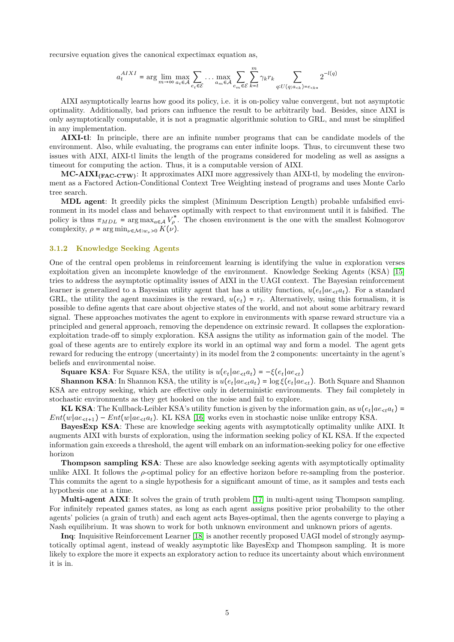recursive equation gives the canonical expectimax equation as,

$$
a_t^{AIXI} = \arg\lim_{m\to\infty}\max_{a_t\in\mathcal{A}}\sum_{e_t\in\mathcal{E}}\cdots\max_{a_m\in\mathcal{A}}\sum_{e_m\in\mathcal{E}}\sum_{k=t}^m \gamma_k r_k \sum_{q:U(q;a_{
$$

AIXI asymptotically learns how good its policy, i.e. it is on-policy value convergent, but not asymptotic optimality. Additionally, bad priors can influence the result to be arbitrarily bad. Besides, since AIXI is only asymptotically computable, it is not a pragmatic algorithmic solution to GRL, and must be simplified in any implementation.

AIXI-tl: In principle, there are an infinite number programs that can be candidate models of the environment. Also, while evaluating, the programs can enter infinite loops. Thus, to circumvent these two issues with AIXI, AIXI-tl limits the length of the programs considered for modeling as well as assigns a timeout for computing the action. Thus, it is a computable version of AIXI.

 $MC-AXI<sub>(FAC-CTW)</sub>:$  It approximates AIXI more aggressively than AIXI-tl, by modeling the environment as a Factored Action-Conditional Context Tree Weighting instead of programs and uses Monte Carlo tree search.

MDL agent: It greedily picks the simplest (Minimum Description Length) probable unfalsified environment in its model class and behaves optimally with respect to that environment until it is falsified. The policy is thus  $\pi_{MDL}$  = arg max<sub>a∈A</sub>  $V_p^*$ . The chosen environment is the one with the smallest Kolmogorov complexity,  $\rho = \arg \min_{\nu \in \mathcal{M}: w_{\nu} > 0} K(\nu)$ .

### 3.1.2 Knowledge Seeking Agents

One of the central open problems in reinforcement learning is identifying the value in exploration verses exploitation given an incomplete knowledge of the environment. Knowledge Seeking Agents (KSA) [\[15\]](#page-19-14) tries to address the asymptotic optimality issues of AIXI in the UAGI context. The Bayesian reinforcement learner is generalized to a Bayesian utility agent that has a utility function,  $u(e_t|ae_{\lt t}a_t)$ . For a standard GRL, the utility the agent maximizes is the reward,  $u(e_t) = r_t$ . Alternatively, using this formalism, it is possible to define agents that care about objective states of the world, and not about some arbitrary reward signal. These approaches motivates the agent to explore in environments with sparse reward structure via a principled and general approach, removing the dependence on extrinsic reward. It collapses the explorationexploitation trade-off to simply exploration. KSA assigns the utility as information gain of the model. The goal of these agents are to entirely explore its world in an optimal way and form a model. The agent gets reward for reducing the entropy (uncertainty) in its model from the 2 components: uncertainty in the agent's beliefs and environmental noise.

**Square KSA:** For Square KSA, the utility is  $u(e_t|ae_{\epsilon t}a_t) = -\xi(e_t|ae_{\epsilon t})$ 

**Shannon KSA**: In Shannon KSA, the utility is  $u(e_t|ae_{\leq t}a_t) = \log \xi(e_t|ae_{\leq t})$ . Both Square and Shannon KSA are entropy seeking, which are effective only in deterministic environments. They fail completely in stochastic environments as they get hooked on the noise and fail to explore.

KL KSA: The Kullback-Leibler KSA's utility function is given by the information gain, as  $u(e_t|ae_{\leq t}a_t)$  =  $Ent(w|ae_{\text{ct+1}}) - Ent(w|ae_{\text{ct}}a_t)$ . KL KSA [\[16\]](#page-19-15) works even in stochastic noise unlike entropy KSA.

BayesExp KSA: These are knowledge seeking agents with asymptotically optimality unlike AIXI. It augments AIXI with bursts of exploration, using the information seeking policy of KL KSA. If the expected information gain exceeds a threshold, the agent will embark on an information-seeking policy for one effective horizon

Thompson sampling KSA: These are also knowledge seeking agents with asymptotically optimality unlike AIXI. It follows the  $\rho$ -optimal policy for an effective horizon before re-sampling from the posterior. This commits the agent to a single hypothesis for a significant amount of time, as it samples and tests each hypothesis one at a time.

Multi-agent AIXI: It solves the grain of truth problem [\[17\]](#page-19-16) in multi-agent using Thompson sampling. For infinitely repeated games states, as long as each agent assigns positive prior probability to the other agents' policies (a grain of truth) and each agent acts Bayes-optimal, then the agents converge to playing a Nash equilibrium. It was shown to work for both unknown environment and unknown priors of agents.

Inq: Inquisitive Reinforcement Learner [\[18\]](#page-19-17) is another recently proposed UAGI model of strongly asymptotically optimal agent, instead of weakly asymptotic like BayesExp and Thompson sampling. It is more likely to explore the more it expects an exploratory action to reduce its uncertainty about which environment it is in.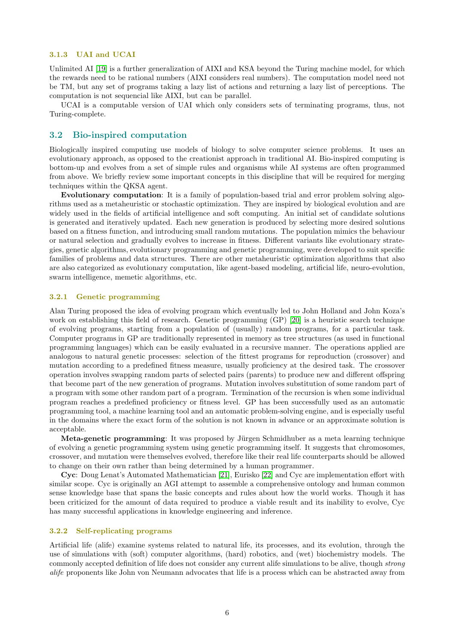#### 3.1.3 UAI and UCAI

Unlimited AI [\[19\]](#page-19-18) is a further generalization of AIXI and KSA beyond the Turing machine model, for which the rewards need to be rational numbers (AIXI considers real numbers). The computation model need not be TM, but any set of programs taking a lazy list of actions and returning a lazy list of perceptions. The computation is not sequencial like AIXI, but can be parallel.

UCAI is a computable version of UAI which only considers sets of terminating programs, thus, not Turing-complete.

## 3.2 Bio-inspired computation

Biologically inspired computing use models of biology to solve computer science problems. It uses an evolutionary approach, as opposed to the creationist approach in traditional AI. Bio-inspired computing is bottom-up and evolves from a set of simple rules and organisms while AI systems are often programmed from above. We briefly review some important concepts in this discipline that will be required for merging techniques within the QKSA agent.

Evolutionary computation: It is a family of population-based trial and error problem solving algorithms used as a metaheuristic or stochastic optimization. They are inspired by biological evolution and are widely used in the fields of artificial intelligence and soft computing. An initial set of candidate solutions is generated and iteratively updated. Each new generation is produced by selecting more desired solutions based on a fitness function, and introducing small random mutations. The population mimics the behaviour or natural selection and gradually evolves to increase in fitness. Different variants like evolutionary strategies, genetic algorithms, evolutionary programming and genetic programming, were developed to suit specific families of problems and data structures. There are other metaheuristic optimization algorithms that also are also categorized as evolutionary computation, like agent-based modeling, artificial life, neuro-evolution, swarm intelligence, memetic algorithms, etc.

#### 3.2.1 Genetic programming

Alan Turing proposed the idea of evolving program which eventually led to John Holland and John Koza's work on establishing this field of research. Genetic programming (GP) [\[20\]](#page-20-0) is a heuristic search technique of evolving programs, starting from a population of (usually) random programs, for a particular task. Computer programs in GP are traditionally represented in memory as tree structures (as used in functional programming languages) which can be easily evaluated in a recursive manner. The operations applied are analogous to natural genetic processes: selection of the fittest programs for reproduction (crossover) and mutation according to a predefined fitness measure, usually proficiency at the desired task. The crossover operation involves swapping random parts of selected pairs (parents) to produce new and different offspring that become part of the new generation of programs. Mutation involves substitution of some random part of a program with some other random part of a program. Termination of the recursion is when some individual program reaches a predefined proficiency or fitness level. GP has been successfully used as an automatic programming tool, a machine learning tool and an automatic problem-solving engine, and is especially useful in the domains where the exact form of the solution is not known in advance or an approximate solution is acceptable.

Meta-genetic programming: It was proposed by Jürgen Schmidhuber as a meta learning technique of evolving a genetic programming system using genetic programming itself. It suggests that chromosomes, crossover, and mutation were themselves evolved, therefore like their real life counterparts should be allowed to change on their own rather than being determined by a human programmer.

Cyc: Doug Lenat's Automated Mathematician [\[21\]](#page-20-1), Eurisko [\[22\]](#page-20-2) and Cyc are implementation effort with similar scope. Cyc is originally an AGI attempt to assemble a comprehensive ontology and human common sense knowledge base that spans the basic concepts and rules about how the world works. Though it has been criticized for the amount of data required to produce a viable result and its inability to evolve, Cyc has many successful applications in knowledge engineering and inference.

### 3.2.2 Self-replicating programs

Artificial life (alife) examine systems related to natural life, its processes, and its evolution, through the use of simulations with (soft) computer algorithms, (hard) robotics, and (wet) biochemistry models. The commonly accepted definition of life does not consider any current alife simulations to be alive, though *strong alife* proponents like John von Neumann advocates that life is a process which can be abstracted away from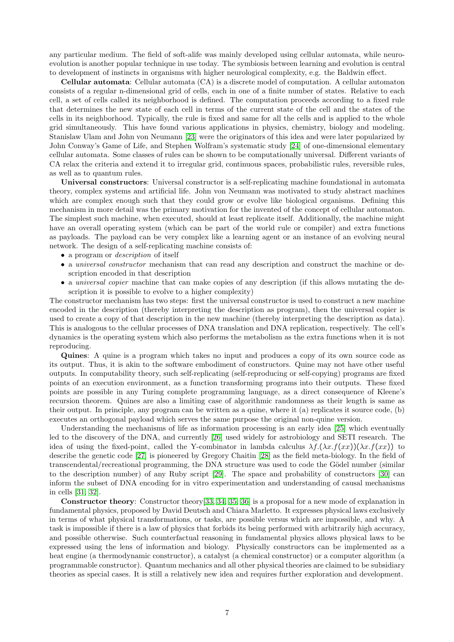any particular medium. The field of soft-alife was mainly developed using cellular automata, while neuroevolution is another popular technique in use today. The symbiosis between learning and evolution is central to development of instincts in organisms with higher neurological complexity, e.g. the Baldwin effect.

Cellular automata: Cellular automata (CA) is a discrete model of computation. A cellular automaton consists of a regular n-dimensional grid of cells, each in one of a finite number of states. Relative to each cell, a set of cells called its neighborhood is defined. The computation proceeds according to a fixed rule that determines the new state of each cell in terms of the current state of the cell and the states of the cells in its neighborhood. Typically, the rule is fixed and same for all the cells and is applied to the whole grid simultaneously. This have found various applications in physics, chemistry, biology and modeling. Stanislaw Ulam and John von Neumann [\[23\]](#page-20-3) were the originators of this idea and were later popularized by John Conway's Game of Life, and Stephen Wolfram's systematic study [\[24\]](#page-20-4) of one-dimensional elementary cellular automata. Some classes of rules can be shown to be computationally universal. Different variants of CA relax the criteria and extend it to irregular grid, continuous spaces, probabilistic rules, reversible rules, as well as to quantum rules.

Universal constructors: Universal constructor is a self-replicating machine foundational in automata theory, complex systems and artificial life. John von Neumann was motivated to study abstract machines which are complex enough such that they could grow or evolve like biological organisms. Defining this mechanism in more detail was the primary motivation for the invented of the concept of cellular automaton. The simplest such machine, when executed, should at least replicate itself. Additionally, the machine might have an overall operating system (which can be part of the world rule or compiler) and extra functions as payloads. The payload can be very complex like a learning agent or an instance of an evolving neural network. The design of a self-replicating machine consists of:

- a program or *description* of itself
- a *universal constructor* mechanism that can read any description and construct the machine or description encoded in that description
- a *universal copier* machine that can make copies of any description (if this allows mutating the description it is possible to evolve to a higher complexity)

The constructor mechanism has two steps: first the universal constructor is used to construct a new machine encoded in the description (thereby interpreting the description as program), then the universal copier is used to create a copy of that description in the new machine (thereby interpreting the description as data). This is analogous to the cellular processes of DNA translation and DNA replication, respectively. The cell's dynamics is the operating system which also performs the metabolism as the extra functions when it is not reproducing.

Quines: A quine is a program which takes no input and produces a copy of its own source code as its output. Thus, it is akin to the software embodiment of constructors. Quine may not have other useful outputs. In computability theory, such self-replicating (self-reproducing or self-copying) programs are fixed points of an execution environment, as a function transforming programs into their outputs. These fixed points are possible in any Turing complete programming language, as a direct consequence of Kleene's recursion theorem. Quines are also a limiting case of algorithmic randomness as their length is same as their output. In principle, any program can be written as a quine, where it (a) replicates it source code, (b) executes an orthogonal payload which serves the same purpose the original non-quine version.

Understanding the mechanisms of life as information processing is an early idea [\[25\]](#page-20-5) which eventually led to the discovery of the DNA, and currently [\[26\]](#page-20-6) used widely for astrobiology and SETI research. The idea of using the fixed-point, called the Y-combinator in lambda calculus  $\lambda f.(\lambda x.f(xx))(\lambda x.f(xx))$  to describe the genetic code [\[27\]](#page-20-7) is pioneered by Gregory Chaitin [\[28\]](#page-20-8) as the field meta-biology. In the field of transcendental/recreational programming, the DNA structure was used to code the Gödel number (similar to the description number) of any Ruby script [\[29\]](#page-20-9). The space and probability of constructors [\[30\]](#page-20-10) can inform the subset of DNA encoding for in vitro experimentation and understanding of causal mechanisms in cells [\[31,](#page-20-11) [32\]](#page-20-12).

Constructor theory: Constructor theory[\[33,](#page-20-13) [34,](#page-20-14) [35,](#page-20-15) [36\]](#page-20-16) is a proposal for a new mode of explanation in fundamental physics, proposed by David Deutsch and Chiara Marletto. It expresses physical laws exclusively in terms of what physical transformations, or tasks, are possible versus which are impossible, and why. A task is impossible if there is a law of physics that forbids its being performed with arbitrarily high accuracy, and possible otherwise. Such counterfactual reasoning in fundamental physics allows physical laws to be expressed using the lens of information and biology. Physically constructors can be implemented as a heat engine (a thermodynamic constructor), a catalyst (a chemical constructor) or a computer algorithm (a programmable constructor). Quantum mechanics and all other physical theories are claimed to be subsidiary theories as special cases. It is still a relatively new idea and requires further exploration and development.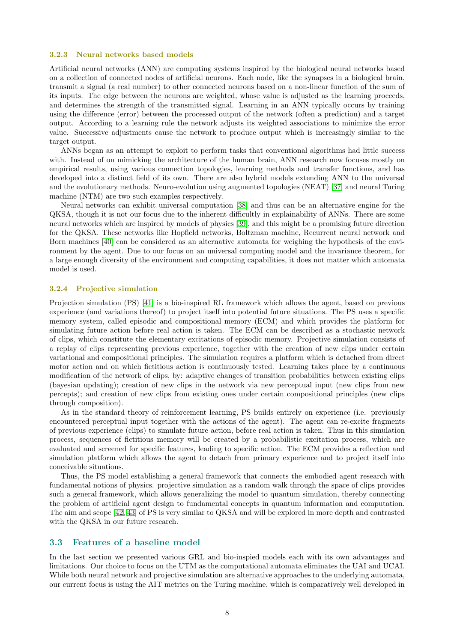#### 3.2.3 Neural networks based models

Artificial neural networks (ANN) are computing systems inspired by the biological neural networks based on a collection of connected nodes of artificial neurons. Each node, like the synapses in a biological brain, transmit a signal (a real number) to other connected neurons based on a non-linear function of the sum of its inputs. The edge between the neurons are weighted, whose value is adjusted as the learning proceeds, and determines the strength of the transmitted signal. Learning in an ANN typically occurs by training using the difference (error) between the processed output of the network (often a prediction) and a target output. According to a learning rule the network adjusts its weighted associations to minimize the error value. Successive adjustments cause the network to produce output which is increasingly similar to the target output.

ANNs began as an attempt to exploit to perform tasks that conventional algorithms had little success with. Instead of on mimicking the architecture of the human brain, ANN research now focuses mostly on empirical results, using various connection topologies, learning methods and transfer functions, and has developed into a distinct field of its own. There are also hybrid models extending ANN to the universal and the evolutionary methods. Neuro-evolution using augmented topologies (NEAT) [\[37\]](#page-20-17) and neural Turing machine (NTM) are two such examples respectively.

Neural networks can exhibit universal computation [\[38\]](#page-20-18) and thus can be an alternative engine for the QKSA, though it is not our focus due to the inherent difficultly in explainability of ANNs. There are some neural networks which are inspired by models of physics [\[39\]](#page-20-19), and this might be a promising future direction for the QKSA. These networks like Hopfield networks, Boltzman machine, Recurrent neural network and Born machines [\[40\]](#page-20-20) can be considered as an alternative automata for weighing the hypothesis of the environment by the agent. Due to our focus on an universal computing model and the invariance theorem, for a large enough diversity of the environment and computing capabilities, it does not matter which automata model is used.

#### 3.2.4 Projective simulation

Projection simulation (PS) [\[41\]](#page-20-21) is a bio-inspired RL framework which allows the agent, based on previous experience (and variations thereof) to project itself into potential future situations. The PS uses a specific memory system, called episodic and compositional memory (ECM) and which provides the platform for simulating future action before real action is taken. The ECM can be described as a stochastic network of clips, which constitute the elementary excitations of episodic memory. Projective simulation consists of a replay of clips representing previous experience, together with the creation of new clips under certain variational and compositional principles. The simulation requires a platform which is detached from direct motor action and on which fictitious action is continuously tested. Learning takes place by a continuous modification of the network of clips, by: adaptive changes of transition probabilities between existing clips (bayesian updating); creation of new clips in the network via new perceptual input (new clips from new percepts); and creation of new clips from existing ones under certain compositional principles (new clips through composition).

As in the standard theory of reinforcement learning, PS builds entirely on experience (i.e. previously encountered perceptual input together with the actions of the agent). The agent can re-excite fragments of previous experience (clips) to simulate future action, before real action is taken. Thus in this simulation process, sequences of fictitious memory will be created by a probabilistic excitation process, which are evaluated and screened for specific features, leading to specific action. The ECM provides a reflection and simulation platform which allows the agent to detach from primary experience and to project itself into conceivable situations.

Thus, the PS model establishing a general framework that connects the embodied agent research with fundamental notions of physics. projective simulation as a random walk through the space of clips provides such a general framework, which allows generalizing the model to quantum simulation, thereby connecting the problem of artificial agent design to fundamental concepts in quantum information and computation. The aim and scope [\[42,](#page-20-22) [43\]](#page-20-23) of PS is very similar to QKSA and will be explored in more depth and contrasted with the QKSA in our future research.

#### 3.3 Features of a baseline model

In the last section we presented various GRL and bio-inspied models each with its own advantages and limitations. Our choice to focus on the UTM as the computational automata eliminates the UAI and UCAI. While both neural network and projective simulation are alternative approaches to the underlying automata, our current focus is using the AIT metrics on the Turing machine, which is comparatively well developed in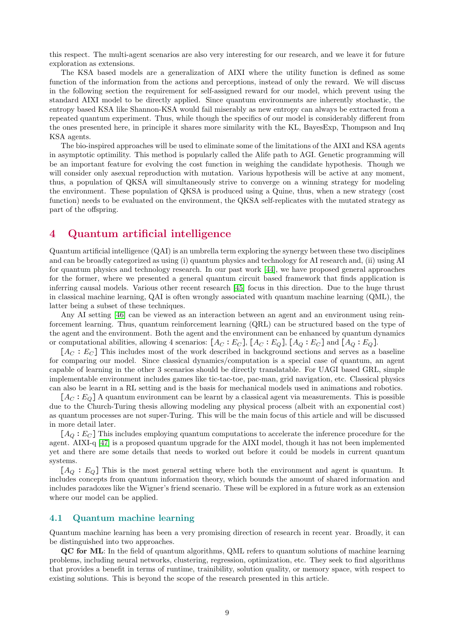this respect. The multi-agent scenarios are also very interesting for our research, and we leave it for future exploration as extensions.

The KSA based models are a generalization of AIXI where the utility function is defined as some function of the information from the actions and perceptions, instead of only the reward. We will discuss in the following section the requirement for self-assigned reward for our model, which prevent using the standard AIXI model to be directly applied. Since quantum environments are inherently stochastic, the entropy based KSA like Shannon-KSA would fail miserably as new entropy can always be extracted from a repeated quantum experiment. Thus, while though the specifics of our model is considerably different from the ones presented here, in principle it shares more similarity with the KL, BayesExp, Thompson and Inq KSA agents.

The bio-inspired approaches will be used to eliminate some of the limitations of the AIXI and KSA agents in asymptotic optimility. This method is popularly called the Alife path to AGI. Genetic programming will be an important feature for evolving the cost function in weighing the candidate hypothesis. Though we will consider only asexual reproduction with mutation. Various hypothesis will be active at any moment, thus, a population of QKSA will simultaneously strive to converge on a winning strategy for modeling the environment. These population of QKSA is produced using a Quine, thus, when a new strategy (cost function) needs to be evaluated on the environment, the QKSA self-replicates with the mutated strategy as part of the offspring.

# <span id="page-8-0"></span>4 Quantum artificial intelligence

Quantum artificial intelligence (QAI) is an umbrella term exploring the synergy between these two disciplines and can be broadly categorized as using (i) quantum physics and technology for AI research and, (ii) using AI for quantum physics and technology research. In our past work [\[44\]](#page-20-24), we have proposed general approaches for the former, where we presented a general quantum circuit based framework that finds application is inferring causal models. Various other recent research [\[45\]](#page-20-25) focus in this direction. Due to the huge thrust in classical machine learning, QAI is often wrongly associated with quantum machine learning (QML), the latter being a subset of these techniques.

Any AI setting [\[46\]](#page-20-26) can be viewed as an interaction between an agent and an environment using reinforcement learning. Thus, quantum reinforcement learning (QRL) can be structured based on the type of the agent and the environment. Both the agent and the environment can be enhanced by quantum dynamics or computational abilities, allowing 4 scenarios:  $[A_C : E_C]$ ,  $[A_C : E_Q]$ ,  $[A_Q : E_C]$  and  $[A_Q : E_Q]$ .

 $[A_C : E_C]$  This includes most of the work described in background sections and serves as a baseline for comparing our model. Since classical dynamics/computation is a special case of quantum, an agent capable of learning in the other 3 scenarios should be directly translatable. For UAGI based GRL, simple implementable environment includes games like tic-tac-toe, pac-man, grid navigation, etc. Classical physics can also be learnt in a RL setting and is the basis for mechanical models used in animations and robotics.

 $[A_C : E_O]$  A quantum environment can be learnt by a classical agent via measurements. This is possible due to the Church-Turing thesis allowing modeling any physical process (albeit with an exponential cost) as quantum processes are not super-Turing. This will be the main focus of this article and will be discussed in more detail later.

 $[A<sub>O</sub>: E<sub>C</sub>]$  This includes employing quantum computations to accelerate the inference procedure for the agent. AIXI-q [\[47\]](#page-20-27) is a proposed quantum upgrade for the AIXI model, though it has not been implemented yet and there are some details that needs to worked out before it could be models in current quantum systems.

 $[A<sub>O</sub>: E<sub>O</sub>]$  This is the most general setting where both the environment and agent is quantum. It includes concepts from quantum information theory, which bounds the amount of shared information and includes paradoxes like the Wigner's friend scenario. These will be explored in a future work as an extension where our model can be applied.

### 4.1 Quantum machine learning

Quantum machine learning has been a very promising direction of research in recent year. Broadly, it can be distinguished into two approaches.

QC for ML: In the field of quantum algorithms, QML refers to quantum solutions of machine learning problems, including neural networks, clustering, regression, optimization, etc. They seek to find algorithms that provides a benefit in terms of runtime, trainibility, solution quality, or memory space, with respect to existing solutions. This is beyond the scope of the research presented in this article.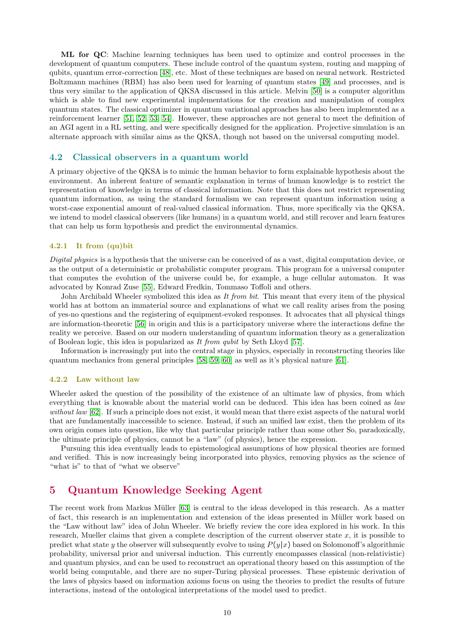ML for QC: Machine learning techniques has been used to optimize and control processes in the development of quantum computers. These include control of the quantum system, routing and mapping of qubits, quantum error-correction [\[48\]](#page-21-0), etc. Most of these techniques are based on neural network. Restricted Boltzmann machines (RBM) has also been used for learning of quantum states [\[49\]](#page-21-1) and processes, and is thus very similar to the application of QKSA discussed in this article. Melvin [\[50\]](#page-21-2) is a computer algorithm which is able to find new experimental implementations for the creation and manipulation of complex quantum states. The classical optimizer in quantum variational approaches has also been implemented as a reinforcement learner [\[51,](#page-21-3) [52,](#page-21-4) [53,](#page-21-5) [54\]](#page-21-6). However, these approaches are not general to meet the definition of an AGI agent in a RL setting, and were specifically designed for the application. Projective simulation is an alternate approach with similar aims as the QKSA, though not based on the universal computing model.

#### 4.2 Classical observers in a quantum world

A primary objective of the QKSA is to mimic the human behavior to form explainable hypothesis about the environment. An inherent feature of semantic explanation in terms of human knowledge is to restrict the representation of knowledge in terms of classical information. Note that this does not restrict representing quantum information, as using the standard formalism we can represent quantum information using a worst-case exponential amount of real-valued classical information. Thus, more specifically via the QKSA, we intend to model classical observers (like humans) in a quantum world, and still recover and learn features that can help us form hypothesis and predict the environmental dynamics.

#### 4.2.1 It from (qu)bit

*Digital physics* is a hypothesis that the universe can be conceived of as a vast, digital computation device, or as the output of a deterministic or probabilistic computer program. This program for a universal computer that computes the evolution of the universe could be, for example, a huge cellular automaton. It was advocated by Konrad Zuse [\[55\]](#page-21-7), Edward Fredkin, Tommaso Toffoli and others.

John Archibald Wheeler symbolized this idea as *It from bit*. This meant that every item of the physical world has at bottom an immaterial source and explanations of what we call reality arises from the posing of yes-no questions and the registering of equipment-evoked responses. It advocates that all physical things are information-theoretic [\[56\]](#page-21-8) in origin and this is a participatory universe where the interactions define the reality we perceive. Based on our modern understanding of quantum information theory as a generalization of Boolean logic, this idea is popularized as *It from qubit* by Seth Lloyd [\[57\]](#page-21-9).

Information is increasingly put into the central stage in physics, especially in reconstructing theories like quantum mechanics from general principles [\[58,](#page-21-10) [59,](#page-21-11) [60\]](#page-21-12) as well as it's physical nature [\[61\]](#page-21-13).

#### 4.2.2 Law without law

Wheeler asked the question of the possibility of the existence of an ultimate law of physics, from which everything that is knowable about the material world can be deduced. This idea has been coined as *law without law* [\[62\]](#page-21-14). If such a principle does not exist, it would mean that there exist aspects of the natural world that are fundamentally inaccessible to science. Instead, if such an unified law exist, then the problem of its own origin comes into question, like why that particular principle rather than some other So, paradoxically, the ultimate principle of physics, cannot be a "law" (of physics), hence the expression.

Pursuing this idea eventually leads to epistemological assumptions of how physical theories are formed and verified. This is now increasingly being incorporated into physics, removing physics as the science of "what is" to that of "what we observe"

# <span id="page-9-0"></span>5 Quantum Knowledge Seeking Agent

The recent work from Markus Müller  $[63]$  is central to the ideas developed in this research. As a matter of fact, this research is an implementation and extension of the ideas presented in M¨uller work based on the "Law without law" idea of John Wheeler. We briefly review the core idea explored in his work. In this research, Mueller claims that given a complete description of the current observer state  $x$ , it is possible to predict what state y the observer will subsequently evolve to using  $P(y|x)$  based on Solomonoff's algorithmic probability, universal prior and universal induction. This currently encompasses classical (non-relativistic) and quantum physics, and can be used to reconstruct an operational theory based on this assumption of the world being computable, and there are no super-Turing physical processes. These epistemic derivation of the laws of physics based on information axioms focus on using the theories to predict the results of future interactions, instead of the ontological interpretations of the model used to predict.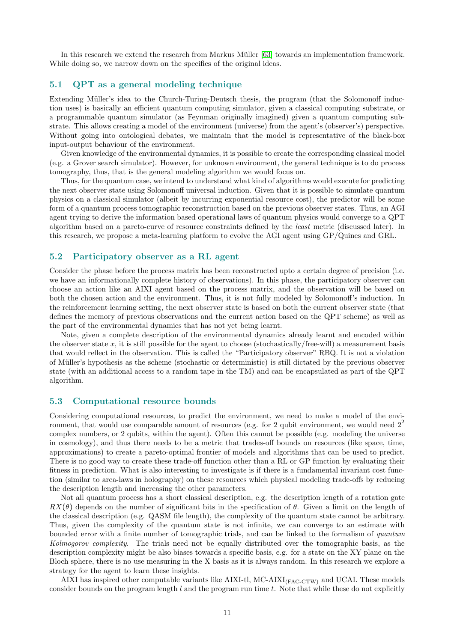In this research we extend the research from Markus Müller [\[63\]](#page-21-15) towards an implementation framework. While doing so, we narrow down on the specifics of the original ideas.

## 5.1 QPT as a general modeling technique

Extending Müller's idea to the Church-Turing-Deutsch thesis, the program (that the Solomonoff induction uses) is basically an efficient quantum computing simulator, given a classical computing substrate, or a programmable quantum simulator (as Feynman originally imagined) given a quantum computing substrate. This allows creating a model of the environment (universe) from the agent's (observer's) perspective. Without going into ontological debates, we maintain that the model is representative of the black-box input-output behaviour of the environment.

Given knowledge of the environmental dynamics, it is possible to create the corresponding classical model (e.g. a Grover search simulator). However, for unknown environment, the general technique is to do process tomography, thus, that is the general modeling algorithm we would focus on.

Thus, for the quantum case, we intend to understand what kind of algorithms would execute for predicting the next observer state using Solomonoff universal induction. Given that it is possible to simulate quantum physics on a classical simulator (albeit by incurring exponential resource cost), the predictor will be some form of a quantum process tomographic reconstruction based on the previous observer states. Thus, an AGI agent trying to derive the information based operational laws of quantum physics would converge to a QPT algorithm based on a pareto-curve of resource constraints defined by the *least* metric (discussed later). In this research, we propose a meta-learning platform to evolve the AGI agent using GP/Quines and GRL.

### 5.2 Participatory observer as a RL agent

Consider the phase before the process matrix has been reconstructed upto a certain degree of precision (i.e. we have an informationally complete history of observations). In this phase, the participatory observer can choose an action like an AIXI agent based on the process matrix, and the observation will be based on both the chosen action and the environment. Thus, it is not fully modeled by Solomonoff's induction. In the reinforcement learning setting, the next observer state is based on both the current observer state (that defines the memory of previous observations and the current action based on the QPT scheme) as well as the part of the environmental dynamics that has not yet being learnt.

Note, given a complete description of the environmental dynamics already learnt and encoded within the observer state x, it is still possible for the agent to choose (stochastically/free-will) a measurement basis that would reflect in the observation. This is called the "Participatory observer" RBQ. It is not a violation of Müller's hypothesis as the scheme (stochastic or deterministic) is still dictated by the previous observer state (with an additional access to a random tape in the TM) and can be encapsulated as part of the QPT algorithm.

### 5.3 Computational resource bounds

Considering computational resources, to predict the environment, we need to make a model of the environment, that would use comparable amount of resources (e.g. for 2 qubit environment, we would need  $2<sup>2</sup>$ complex numbers, or 2 qubits, within the agent). Often this cannot be possible (e.g. modeling the universe in cosmology), and thus there needs to be a metric that trades-off bounds on resources (like space, time, approximations) to create a pareto-optimal frontier of models and algorithms that can be used to predict. There is no good way to create these trade-off function other than a RL or GP function by evaluating their fitness in prediction. What is also interesting to investigate is if there is a fundamental invariant cost function (similar to area-laws in holography) on these resources which physical modeling trade-offs by reducing the description length and increasing the other parameters.

Not all quantum process has a short classical description, e.g. the description length of a rotation gate  $RX(\theta)$  depends on the number of significant bits in the specification of  $\theta$ . Given a limit on the length of the classical description (e.g. QASM file length), the complexity of the quantum state cannot be arbitrary. Thus, given the complexity of the quantum state is not infinite, we can converge to an estimate with bounded error with a finite number of tomographic trials, and can be linked to the formalism of *quantum Kolmogorov complexity*. The trials need not be equally distributed over the tomographic basis, as the description complexity might be also biases towards a specific basis, e.g. for a state on the XY plane on the Bloch sphere, there is no use measuring in the X basis as it is always random. In this research we explore a strategy for the agent to learn these insights.

AIXI has inspired other computable variants like AIXI-tl, MC-AIXI(FAC-CTW) and UCAI. These models consider bounds on the program length  $l$  and the program run time  $t$ . Note that while these do not explicitly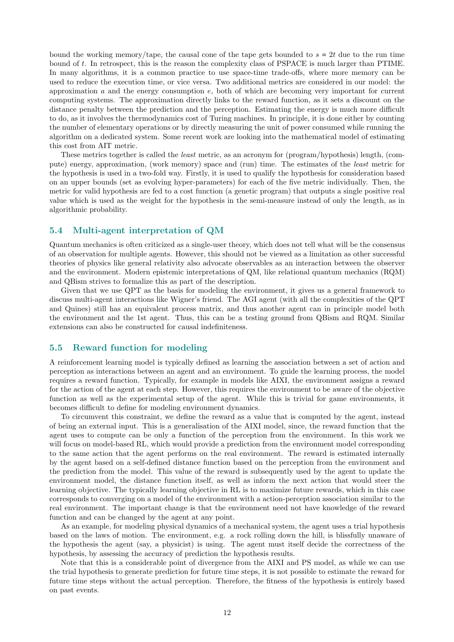bound the working memory/tape, the causal cone of the tape gets bounded to  $s = 2t$  due to the run time bound of t. In retrospect, this is the reason the complexity class of PSPACE is much larger than PTIME. In many algorithms, it is a common practice to use space-time trade-offs, where more memory can be used to reduce the execution time, or vice versa. Two additional metrics are considered in our model: the approximation  $a$  and the energy consumption  $e$ , both of which are becoming very important for current computing systems. The approximation directly links to the reward function, as it sets a discount on the distance penalty between the prediction and the perception. Estimating the energy is much more difficult to do, as it involves the thermodynamics cost of Turing machines. In principle, it is done either by counting the number of elementary operations or by directly measuring the unit of power consumed while running the algorithm on a dedicated system. Some recent work are looking into the mathematical model of estimating this cost from AIT metric.

These metrics together is called the *least* metric, as an acronym for (program/hypothesis) length, (compute) energy, approximation, (work memory) space and (run) time. The estimates of the *least* metric for the hypothesis is used in a two-fold way. Firstly, it is used to qualify the hypothesis for consideration based on an upper bounds (set as evolving hyper-parameters) for each of the five metric individually. Then, the metric for valid hypothesis are fed to a cost function (a genetic program) that outputs a single positive real value which is used as the weight for the hypothesis in the semi-measure instead of only the length, as in algorithmic probability.

## 5.4 Multi-agent interpretation of QM

Quantum mechanics is often criticized as a single-user theory, which does not tell what will be the consensus of an observation for multiple agents. However, this should not be viewed as a limitation as other successful theories of physics like general relativity also advocate observables as an interaction between the observer and the environment. Modern epistemic interpretations of QM, like relational quantum mechanics (RQM) and QBism strives to formalize this as part of the description.

Given that we use QPT as the basis for modeling the environment, it gives us a general framework to discuss multi-agent interactions like Wigner's friend. The AGI agent (with all the complexities of the QPT and Quines) still has an equivalent process matrix, and thus another agent can in principle model both the environment and the 1st agent. Thus, this can be a testing ground from QBism and RQM. Similar extensions can also be constructed for causal indefiniteness.

## 5.5 Reward function for modeling

A reinforcement learning model is typically defined as learning the association between a set of action and perception as interactions between an agent and an environment. To guide the learning process, the model requires a reward function. Typically, for example in models like AIXI, the environment assigns a reward for the action of the agent at each step. However, this requires the environment to be aware of the objective function as well as the experimental setup of the agent. While this is trivial for game environments, it becomes difficult to define for modeling environment dynamics.

To circumvent this constraint, we define the reward as a value that is computed by the agent, instead of being an external input. This is a generalisation of the AIXI model, since, the reward function that the agent uses to compute can be only a function of the perception from the environment. In this work we will focus on model-based RL, which would provide a prediction from the environment model corresponding to the same action that the agent performs on the real environment. The reward is estimated internally by the agent based on a self-defined distance function based on the perception from the environment and the prediction from the model. This value of the reward is subsequently used by the agent to update the environment model, the distance function itself, as well as inform the next action that would steer the learning objective. The typically learning objective in RL is to maximize future rewards, which in this case corresponds to converging on a model of the environment with a action-perception association similar to the real environment. The important change is that the environment need not have knowledge of the reward function and can be changed by the agent at any point.

As an example, for modeling physical dynamics of a mechanical system, the agent uses a trial hypothesis based on the laws of motion. The environment, e.g. a rock rolling down the hill, is blissfully unaware of the hypothesis the agent (say, a physicist) is using. The agent must itself decide the correctness of the hypothesis, by assessing the accuracy of prediction the hypothesis results.

Note that this is a considerable point of divergence from the AIXI and PS model, as while we can use the trial hypothesis to generate prediction for future time steps, it is not possible to estimate the reward for future time steps without the actual perception. Therefore, the fitness of the hypothesis is entirely based on past events.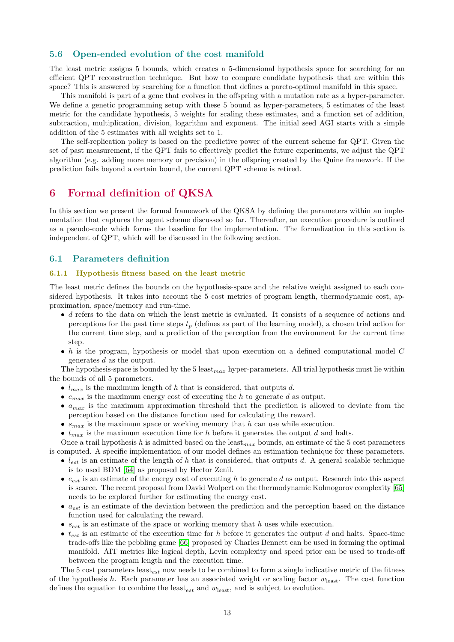## 5.6 Open-ended evolution of the cost manifold

The least metric assigns 5 bounds, which creates a 5-dimensional hypothesis space for searching for an efficient QPT reconstruction technique. But how to compare candidate hypothesis that are within this space? This is answered by searching for a function that defines a pareto-optimal manifold in this space.

This manifold is part of a gene that evolves in the offspring with a mutation rate as a hyper-parameter. We define a genetic programming setup with these 5 bound as hyper-parameters, 5 estimates of the least metric for the candidate hypothesis, 5 weights for scaling these estimates, and a function set of addition, subtraction, multiplication, division, logarithm and exponent. The initial seed AGI starts with a simple addition of the 5 estimates with all weights set to 1.

The self-replication policy is based on the predictive power of the current scheme for QPT. Given the set of past measurement, if the QPT fails to effectively predict the future experiments, we adjust the QPT algorithm (e.g. adding more memory or precision) in the offspring created by the Quine framework. If the prediction fails beyond a certain bound, the current QPT scheme is retired.

## <span id="page-12-0"></span>6 Formal definition of QKSA

In this section we present the formal framework of the QKSA by defining the parameters within an implementation that captures the agent scheme discussed so far. Thereafter, an execution procedure is outlined as a pseudo-code which forms the baseline for the implementation. The formalization in this section is independent of QPT, which will be discussed in the following section.

#### 6.1 Parameters definition

#### 6.1.1 Hypothesis fitness based on the least metric

The least metric defines the bounds on the hypothesis-space and the relative weight assigned to each considered hypothesis. It takes into account the 5 cost metrics of program length, thermodynamic cost, approximation, space/memory and run-time.

- d refers to the data on which the least metric is evaluated. It consists of a sequence of actions and perceptions for the past time steps  $t_p$  (defines as part of the learning model), a chosen trial action for the current time step, and a prediction of the perception from the environment for the current time step.
- $\bullet$  h is the program, hypothesis or model that upon execution on a defined computational model C generates d as the output.

The hypothesis-space is bounded by the 5 least  $_{max}$  hyper-parameters. All trial hypothesis must lie within the bounds of all 5 parameters.

- $l_{max}$  is the maximum length of h that is considered, that outputs d.
- $e_{max}$  is the maximum energy cost of executing the h to generate d as output.
- $a_{max}$  is the maximum approximation threshold that the prediction is allowed to deviate from the perception based on the distance function used for calculating the reward.
- $s_{max}$  is the maximum space or working memory that h can use while execution.
- $t_{max}$  is the maximum execution time for h before it generates the output d and halts.

Once a trail hypothesis h is admitted based on the least  $_{max}$  bounds, an estimate of the 5 cost parameters is computed. A specific implementation of our model defines an estimation technique for these parameters.

- $l_{est}$  is an estimate of the length of h that is considered, that outputs d. A general scalable technique is to used BDM [\[64\]](#page-21-16) as proposed by Hector Zenil.
- $\bullet$   $e_{est}$  is an estimate of the energy cost of executing h to generate d as output. Research into this aspect is scarce. The recent proposal from David Wolpert on the thermodynamic Kolmogorov complexity [\[65\]](#page-21-17) needs to be explored further for estimating the energy cost.
- $a_{est}$  is an estimate of the deviation between the prediction and the perception based on the distance function used for calculating the reward.
- $s_{est}$  is an estimate of the space or working memory that h uses while execution.
- $t_{est}$  is an estimate of the execution time for h before it generates the output d and halts. Space-time trade-offs like the pebbling game [\[66\]](#page-21-18) proposed by Charles Bennett can be used in forming the optimal manifold. AIT metrics like logical depth, Levin complexity and speed prior can be used to trade-off between the program length and the execution time.

The 5 cost parameters least<sub>est</sub> now needs to be combined to form a single indicative metric of the fitness of the hypothesis h. Each parameter has an associated weight or scaling factor  $w_{\text{least}}$ . The cost function defines the equation to combine the least<sub>est</sub> and  $w_{\text{least}}$ , and is subject to evolution.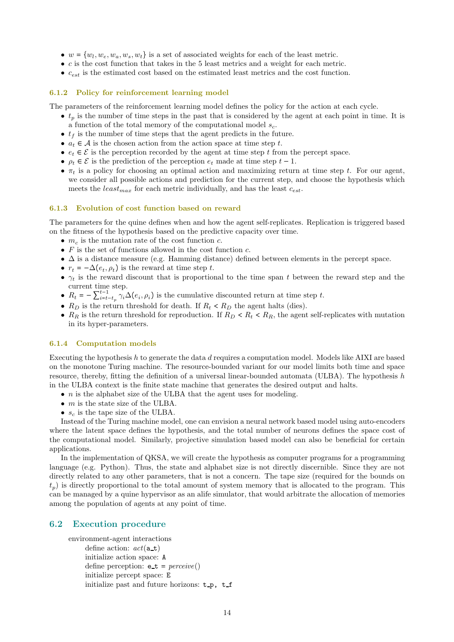- $w = \{w_l, w_e, w_a, w_s, w_t\}$  is a set of associated weights for each of the least metric.
- $\bullet$  c is the cost function that takes in the 5 least metrics and a weight for each metric.
- $\bullet$   $c_{est}$  is the estimated cost based on the estimated least metrics and the cost function.

#### 6.1.2 Policy for reinforcement learning model

The parameters of the reinforcement learning model defines the policy for the action at each cycle.

- $t_p$  is the number of time steps in the past that is considered by the agent at each point in time. It is a function of the total memory of the computational model  $s_c$ .
- $t_f$  is the number of time steps that the agent predicts in the future.
- $a_t \in \mathcal{A}$  is the chosen action from the action space at time step t.
- $e_t \in \mathcal{E}$  is the perception recorded by the agent at time step t from the percept space.
- $\rho_t \in \mathcal{E}$  is the prediction of the perception  $e_t$  made at time step  $t 1$ .
- $\pi_t$  is a policy for choosing an optimal action and maximizing return at time step t. For our agent, we consider all possible actions and prediction for the current step, and choose the hypothesis which meets the least  $_{max}$  for each metric individually, and has the least  $c_{est}$ .

#### 6.1.3 Evolution of cost function based on reward

The parameters for the quine defines when and how the agent self-replicates. Replication is triggered based on the fitness of the hypothesis based on the predictive capacity over time.

- $m_c$  is the mutation rate of the cost function  $c$ .
- $F$  is the set of functions allowed in the cost function  $c$ .
- $\Delta$  is a distance measure (e.g. Hamming distance) defined between elements in the percept space.
- $r_t = -\Delta(e_t, \rho_t)$  is the reward at time step t.
- $\gamma_t$  is the reward discount that is proportional to the time span t between the reward step and the current time step.
- $R_t = -\sum_{i=t-t_p}^{t-1} \gamma_i \Delta(e_i, \rho_i)$  is the cumulative discounted return at time step t.
- $R_D$  is the return threshold for death. If  $R_t < R_D$  the agent halts (dies).
- $R_R$  is the return threshold for reproduction. If  $R_D < R_t < R_R$ , the agent self-replicates with mutation in its hyper-parameters.

#### 6.1.4 Computation models

Executing the hypothesis h to generate the data d requires a computation model. Models like AIXI are based on the monotone Turing machine. The resource-bounded variant for our model limits both time and space resource, thereby, fitting the definition of a universal linear-bounded automata (ULBA). The hypothesis h in the ULBA context is the finite state machine that generates the desired output and halts.

- $\bullet$  *n* is the alphabet size of the ULBA that the agent uses for modeling.
- $\bullet$  *m* is the state size of the ULBA.
- $s_c$  is the tape size of the ULBA.

Instead of the Turing machine model, one can envision a neural network based model using auto-encoders where the latent space defines the hypothesis, and the total number of neurons defines the space cost of the computational model. Similarly, projective simulation based model can also be beneficial for certain applications.

In the implementation of QKSA, we will create the hypothesis as computer programs for a programming language (e.g. Python). Thus, the state and alphabet size is not directly discernible. Since they are not directly related to any other parameters, that is not a concern. The tape size (required for the bounds on  $t_p$ ) is directly proportional to the total amount of system memory that is allocated to the program. This can be managed by a quine hypervisor as an alife simulator, that would arbitrate the allocation of memories among the population of agents at any point of time.

### 6.2 Execution procedure

```
environment-agent interactions
     define action: act(a_t)initialize action space: A
     define perception: e t = perceive()
     initialize percept space: E
     initialize past and future horizons: t_p, t_f
```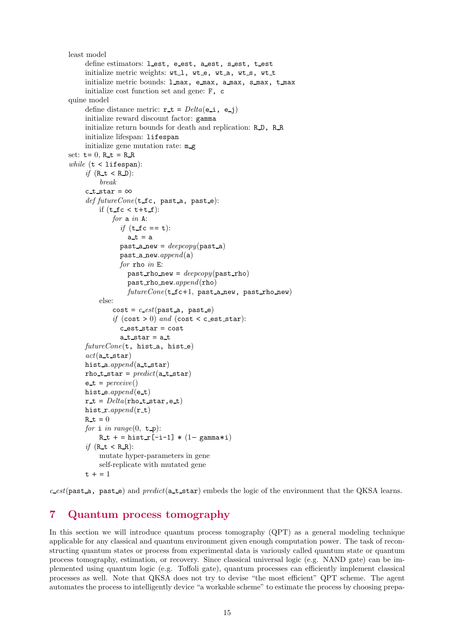```
least model
     define estimators: lest, e_est, a_est, s_est, t_est
     initialize metric weights: wt_1, wt_e, wt_a, wt_s, wt_t
     initialize metric bounds: l max, e max, a max, s max, t max
     initialize cost function set and gene: F, c
quine model
     define distance metric: \mathbf{r} \cdot \mathbf{t} = \text{Delta}(\mathbf{e} \cdot \mathbf{i}, \mathbf{e} \cdot \mathbf{j})initialize reward discount factor: gamma
     initialize return bounds for death and replication: R.D., R.R.
     initialize lifespan: lifespan
     initialize gene mutation rate: m_g
set: t= 0, R_t = R_Rwhile (t < 1ifespan):
     if (R_t < R_D):
          break
     c_t_star = \inftydef futureCone(t_fc, past_a, past_e):
         if (t_f c < t + t_f):
              for a in A:
                if (t_f c == t):
                   a_t = apast a new = deepcopy(past a)
                past a new.append(a)
                for rho in E:
                   past rho new = deepcopy(past rho)
                   past rho new.append(rho)
                   futureCone(\texttt{t_f-1}, \texttt{past_a_new}, \texttt{past_rho_new})else:
              cost = c\_est(past_a, past_e)if (cost > 0) and (cost < c_est_star):
                c est star = costa_t star = a_tfutureCone(t, hist.a, hist.e)act(a_t, start)hist_a.append(a_t_star)
     rho t star = predict(a_t, t_s)e_t = \text{perc} = \text{perc}hist_e.append(e_t)
     r_t = Delta(rho_t, start, e_t)hist \mathbf{r}.append(\mathbf{r}\mathbf{t})
     R_t = 0for i in range(0, t \neq):
         R_t + = \text{hist}_r[-i-1] * (1-\text{gamma}^*)if (R_t < R_R):
         mutate hyper-parameters in gene
         self-replicate with mutated gene
     t + 1 = 1
```
 $c\_est$ (past<sub>a</sub>, past e) and *predict*(a t star) embeds the logic of the environment that the QKSA learns.

# <span id="page-14-0"></span>7 Quantum process tomography

In this section we will introduce quantum process tomography (QPT) as a general modeling technique applicable for any classical and quantum environment given enough computation power. The task of reconstructing quantum states or process from experimental data is variously called quantum state or quantum process tomography, estimation, or recovery. Since classical universal logic (e.g. NAND gate) can be implemented using quantum logic (e.g. Toffoli gate), quantum processes can efficiently implement classical processes as well. Note that QKSA does not try to devise "the most efficient" QPT scheme. The agent automates the process to intelligently device "a workable scheme" to estimate the process by choosing prepa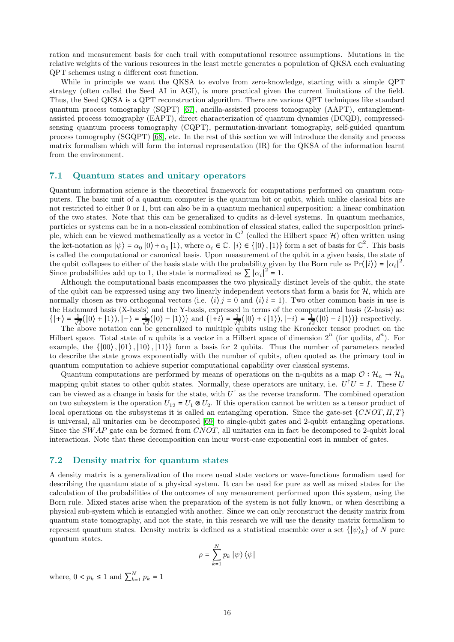ration and measurement basis for each trail with computational resource assumptions. Mutations in the relative weights of the various resources in the least metric generates a population of QKSA each evaluating QPT schemes using a different cost function.

While in principle we want the QKSA to evolve from zero-knowledge, starting with a simple QPT strategy (often called the Seed AI in AGI), is more practical given the current limitations of the field. Thus, the Seed QKSA is a QPT reconstruction algorithm. There are various QPT techniques like standard quantum process tomography (SQPT) [\[67\]](#page-21-19), ancilla-assisted process tomography (AAPT), entanglementassisted process tomography (EAPT), direct characterization of quantum dynamics (DCQD), compressedsensing quantum process tomography (CQPT), permutation-invariant tomography, self-guided quantum process tomography (SGQPT) [\[68\]](#page-21-20), etc. In the rest of this section we will introduce the density and process matrix formalism which will form the internal representation (IR) for the QKSA of the information learnt from the environment.

### 7.1 Quantum states and unitary operators

Quantum information science is the theoretical framework for computations performed on quantum computers. The basic unit of a quantum computer is the quantum bit or qubit, which unlike classical bits are not restricted to either 0 or 1, but can also be in a quantum mechanical superposition: a linear combination of the two states. Note that this can be generalized to qudits as d-level systems. In quantum mechanics, particles or systems can be in a non-classical combination of classical states, called the superposition principle, which can be viewed mathematically as a vector in  $\mathbb{C}^2$  (called the Hilbert space H) often written using the ket-notation as  $|\psi\rangle = \alpha_0 |0\rangle + \alpha_1 |1\rangle$ , where  $\alpha_i \in \mathbb{C}$ .  $|i\rangle \in \{|0\rangle, |1\rangle\}$  form a set of basis for  $\mathbb{C}^2$ . This basis is called the computational or canonical basis. Upon measurement of the qubit in a given basis, the state of the qubit collapses to either of the basis state with the probability given by the Born rule as  $Pr(|i\rangle) = |\alpha_i|^2$ . Since probabilities add up to 1, the state is normalized as  $\sum |\alpha_i|^2 = 1$ .

Although the computational basis encompasses the two physically distinct levels of the qubit, the state of the qubit can be expressed using any two linearly independent vectors that form a basis for  $H$ , which are normally chosen as two orthogonal vectors (i.e.  $\langle i \rangle j = 0$  and  $\langle i \rangle i = 1$ ). Two other common basis in use is the Hadamard basis (X-basis) and the Y-basis, expressed in terms of the computational basis (Z-basis) as:  $\{|+\rangle = \frac{1}{\sqrt{2}}(|0\rangle + |1\rangle), |-\rangle = \frac{1}{\sqrt{2}}(|0\rangle - |1\rangle)$  and  $\{|+i\rangle = \frac{1}{\sqrt{2}}(|0\rangle + |1\rangle), |-i\rangle = \frac{1}{\sqrt{2}}(|0\rangle - |1\rangle)$  respectively.

The above notation can be generalized to multiple qubits using the Kronecker tensor product on the Hilbert space. Total state of n qubits is a vector in a Hilbert space of dimension  $2^n$  (for qudits,  $d^n$ ). For example, the  $\{|00\rangle, |01\rangle, |10\rangle, |11\rangle\}$  form a basis for 2 qubits. Thus the number of parameters needed to describe the state grows exponentially with the number of qubits, often quoted as the primary tool in quantum computation to achieve superior computational capability over classical systems.

Quantum computations are performed by means of operations on the n-qubits as a map  $\mathcal{O} : \mathcal{H}_n \to \mathcal{H}_n$ mapping qubit states to other qubit states. Normally, these operators are unitary, i.e.  $U^{\dagger}U = I$ . These U can be viewed as a change in basis for the state, with  $U^{\dagger}$  as the reverse transform. The combined operation on two subsystem is the operation  $U_{12} = U_1 \otimes U_2$ . If this operation cannot be written as a tensor product of local operations on the subsystems it is called an entangling operation. Since the gate-set  $\{CNOT, H, T\}$ is universal, all unitaries can be decomposed [\[69\]](#page-21-21) to single-qubit gates and 2-qubit entangling operations. Since the SWAP gate can be formed from  $CNOT$ , all unitaries can in fact be decomposed to 2-qubit local interactions. Note that these decomposition can incur worst-case exponential cost in number of gates.

## 7.2 Density matrix for quantum states

A density matrix is a generalization of the more usual state vectors or wave-functions formalism used for describing the quantum state of a physical system. It can be used for pure as well as mixed states for the calculation of the probabilities of the outcomes of any measurement performed upon this system, using the Born rule. Mixed states arise when the preparation of the system is not fully known, or when describing a physical sub-system which is entangled with another. Since we can only reconstruct the density matrix from quantum state tomography, and not the state, in this research we will use the density matrix formalism to represent quantum states. Density matrix is defined as a statistical ensemble over a set  $\{|\psi\rangle_k\}$  of N pure quantum states.

$$
\rho=\sum_{k=1}^Np_k\left|\psi\right\rangle\left\langle\psi\right|
$$

where,  $0 < p_k \leq 1$  and  $\sum_{k=1}^{N} p_k = 1$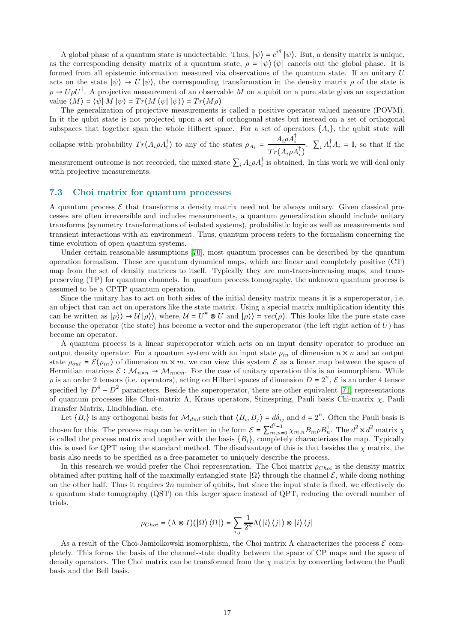A global phase of a quantum state is undetectable. Thus,  $|\psi\rangle = e^{i\theta} |\psi\rangle$ . But, a density matrix is unique, as the corresponding density matrix of a quantum state,  $\rho = |\psi\rangle \langle \psi|$  cancels out the global phase. It is formed from all epistemic information measured via observations of the quantum state. If an unitary U acts on the state  $|\psi\rangle \rightarrow U |\psi\rangle$ , the corresponding transformation in the density matrix  $\rho$  of the state is  $\rho \to U \rho U^{\dagger}$ . A projective measurement of an observable M on a qubit on a pure state gives an expectation value  $\langle M \rangle = \langle \psi | M | \psi \rangle = Tr(M \langle \psi | \psi \rangle) = Tr(M \rho)$ 

The generalization of projective measurements is called a positive operator valued measure (POVM). In it the qubit state is not projected upon a set of orthogonal states but instead on a set of orthogonal subspaces that together span the whole Hilbert space. For a set of operators  $\{A_i\}$ , the qubit state will collapse with probability  $Tr(A_i \rho A_i^{\dagger})$  to any of the states  $\rho_{A_i}$  =  $A_i \rho A_i^\dagger$  $Tr(A_i \rho A_i^{\dagger})$ .  $\sum_i A_i^{\dagger} A_i = \mathbb{I}$ , so that if the

measurement outcome is not recorded, the mixed state  $\sum_i A_i \rho A_i^{\dagger}$  is obtained. In this work we will deal only with projective measurements.

### 7.3 Choi matrix for quantum processes

A quantum process  $\mathcal E$  that transforms a density matrix need not be always unitary. Given classical processes are often irreversible and includes measurements, a quantum generalization should include unitary transforms (symmetry transformations of isolated systems), probabilistic logic as well as measurements and transient interactions with an environment. Thus, quantum process refers to the formalism concerning the time evolution of open quantum systems.

Under certain reasonable assumptions [\[70\]](#page-21-22), most quantum processes can be described by the quantum operation formalism. These are quantum dynamical maps, which are linear and completely positive (CT) map from the set of density matrices to itself. Typically they are non-trace-increasing maps, and tracepreserving (TP) for quantum channels. In quantum process tomography, the unknown quantum process is assumed to be a CPTP quantum operation.

Since the unitary has to act on both sides of the initial density matrix means it is a superoperator, i.e. an object that can act on operators like the state matrix. Using a special matrix multiplication identity this can be written as  $|\rho\rangle\rangle \rightarrow U|\rho\rangle\rangle$ , where,  $U = U^* \otimes U$  and  $|\rho\rangle\rangle = vec(\rho)$ . This looks like the pure state case because the operator (the state) has become a vector and the superoperator (the left right action of  $U$ ) has become an operator.

A quantum process is a linear superoperator which acts on an input density operator to produce an output density operator. For a quantum system with an input state  $\rho_{in}$  of dimension  $n \times n$  and an output state  $\rho_{out} = \mathcal{E}(\rho_{in})$  of dimension  $m \times m$ , we can view this system  $\mathcal E$  as a linear map between the space of Hermitian matrices  $\mathcal{E}: \mathcal{M}_{n\times n} \to \mathcal{M}_{m\times m}$ . For the case of unitary operation this is an isomorphism. While  $\rho$  is an order 2 tensors (i.e. operators), acting on Hilbert spaces of dimension  $D = 2^n$ ,  $\mathcal E$  is an order 4 tensor specified by  $D^4 - D^2$  parameters. Beside the superoperator, there are other equivalent [\[71\]](#page-21-23) representations of quantum processes like Choi-matrix Λ, Kraus operators, Stinespring, Pauli basis Chi-matrix χ, Pauli Transfer Matrix, Lindbladian, etc.

Let  ${B_i}$  is any orthogonal basis for  $\mathcal{M}_{d \times d}$  such that  $\langle B_i, B_j \rangle = d\delta_{ij}$  and  $d = 2^n$ . Often the Pauli basis is chosen for this. The process map can be written in the form  $\mathcal{E} = \sum_{m,n=0}^{d^2-1} \chi_{m,n} B_m \rho B_n^{\dagger}$ . The  $d^2 \times d^2$  matrix  $\chi$ is called the process matrix and together with the basis  $\{B_i\}$ , completely characterizes the map. Typically this is used for QPT using the standard method. The disadvantage of this is that besides the  $\chi$  matrix, the basis also needs to be specified as a free-parameter to uniquely describe the process.

In this research we would prefer the Choi representation. The Choi matrix  $\rho_{Choi}$  is the density matrix obtained after putting half of the maximally entangled state  $| \Omega \rangle$  through the channel  $\mathcal{E}$ , while doing nothing on the other half. Thus it requires  $2n$  number of qubits, but since the input state is fixed, we effectively do a quantum state tomography (QST) on this larger space instead of QPT, reducing the overall number of trials.

$$
\rho_{Choi} = (\Lambda \otimes I)(\left|\Omega\right\rangle \left\langle \Omega\right|) = \sum_{i,j} \frac{1}{2^n} \Lambda(\left|i\right\rangle \left\langle j\right|) \otimes \left|i\right\rangle \left\langle j\right|
$$

As a result of the Choi-Jamiolkowski isomorphism, the Choi matrix  $\Lambda$  characterizes the process  $\mathcal E$  completely. This forms the basis of the channel-state duality between the space of CP maps and the space of density operators. The Choi matrix can be transformed from the  $\chi$  matrix by converting between the Pauli basis and the Bell basis.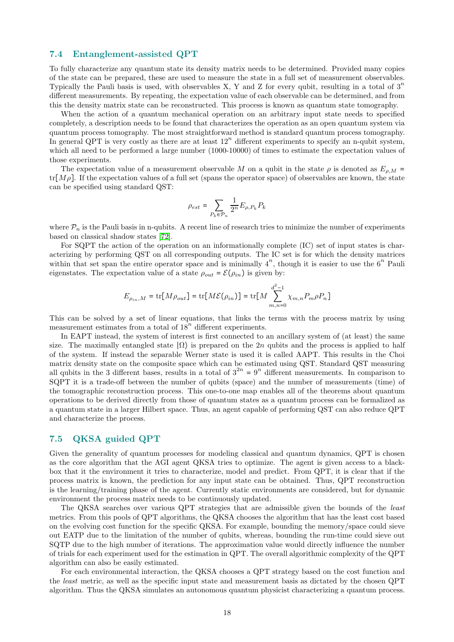### 7.4 Entanglement-assisted QPT

To fully characterize any quantum state its density matrix needs to be determined. Provided many copies of the state can be prepared, these are used to measure the state in a full set of measurement observables. Typically the Pauli basis is used, with observables X, Y and Z for every qubit, resulting in a total of  $3<sup>n</sup>$ different measurements. By repeating, the expectation value of each observable can be determined, and from this the density matrix state can be reconstructed. This process is known as quantum state tomography.

When the action of a quantum mechanical operation on an arbitrary input state needs to specified completely, a description needs to be found that characterizes the operation as an open quantum system via quantum process tomography. The most straightforward method is standard quantum process tomography. In general QPT is very costly as there are at least  $12^n$  different experiments to specify an n-qubit system, which all need to be performed a large number  $(1000-10000)$  of times to estimate the expectation values of those experiments.

The expectation value of a measurement observable M on a qubit in the state  $\rho$  is denoted as  $E_{\rho,M}$  =  $tr[M\rho]$ . If the expectation values of a full set (spans the operator space) of observables are known, the state can be specified using standard QST:

$$
\rho_{est} = \sum_{P_k \in \mathcal{P}_n} \frac{1}{2^n} E_{\rho,P_k} P_k
$$

where  $\mathcal{P}_n$  is the Pauli basis in n-qubits. A recent line of research tries to minimize the number of experiments based on classical shadow states [\[72\]](#page-21-24).

For SQPT the action of the operation on an informationally complete (IC) set of input states is characterizing by performing QST on all corresponding outputs. The IC set is for which the density matrices within that set span the entire operator space and is minimally  $4^n$ , though it is easier to use the  $6^n$  Pauli eigenstates. The expectation value of a state  $\rho_{out} = \mathcal{E}(\rho_{in})$  is given by:

$$
E_{\rho_{in},M} = \text{tr}[M\rho_{out}] = \text{tr}[M\mathcal{E}(\rho_{in})] = \text{tr}[M \sum_{m,n=0}^{d^2-1} \chi_{m,n} P_m \rho P_n]
$$

This can be solved by a set of linear equations, that links the terms with the process matrix by using measurement estimates from a total of  $18^n$  different experiments.

In EAPT instead, the system of interest is first connected to an ancillary system of (at least) the same size. The maximally entangled state  $|\Omega\rangle$  is prepared on the 2n qubits and the process is applied to half of the system. If instead the separable Werner state is used it is called AAPT. This results in the Choi matrix density state on the composite space which can be estimated using QST. Standard QST measuring all qubits in the 3 different bases, results in a total of  $3^{2n} = 9^n$  different measurements. In comparison to SQPT it is a trade-off between the number of qubits (space) and the number of measurements (time) of the tomographic reconstruction process. This one-to-one map enables all of the theorems about quantum operations to be derived directly from those of quantum states as a quantum process can be formalized as a quantum state in a larger Hilbert space. Thus, an agent capable of performing QST can also reduce QPT and characterize the process.

## 7.5 QKSA guided QPT

Given the generality of quantum processes for modeling classical and quantum dynamics, QPT is chosen as the core algorithm that the AGI agent QKSA tries to optimize. The agent is given access to a blackbox that it the environment it tries to characterize, model and predict. From QPT, it is clear that if the process matrix is known, the prediction for any input state can be obtained. Thus, QPT reconstruction is the learning/training phase of the agent. Currently static environments are considered, but for dynamic environment the process matrix needs to be continuously updated.

The QKSA searches over various QPT strategies that are admissible given the bounds of the *least* metrics. From this pools of QPT algorithms, the QKSA chooses the algorithm that has the least cost based on the evolving cost function for the specific QKSA. For example, bounding the memory/space could sieve out EATP due to the limitation of the number of qubits, whereas, bounding the run-time could sieve out SQTP due to the high number of iterations. The approximation value would directly influence the number of trials for each experiment used for the estimation in QPT. The overall algorithmic complexity of the QPT algorithm can also be easily estimated.

For each environmental interaction, the QKSA chooses a QPT strategy based on the cost function and the *least* metric, as well as the specific input state and measurement basis as dictated by the chosen QPT algorithm. Thus the QKSA simulates an autonomous quantum physicist characterizing a quantum process.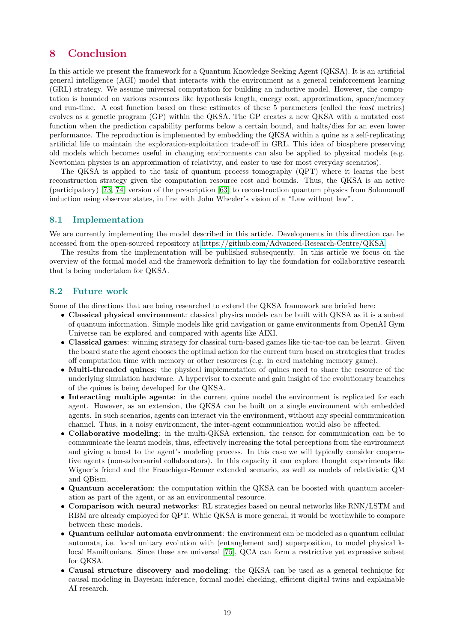# <span id="page-18-0"></span>8 Conclusion

In this article we present the framework for a Quantum Knowledge Seeking Agent (QKSA). It is an artificial general intelligence (AGI) model that interacts with the environment as a general reinforcement learning (GRL) strategy. We assume universal computation for building an inductive model. However, the computation is bounded on various resources like hypothesis length, energy cost, approximation, space/memory and run-time. A cost function based on these estimates of these 5 parameters (called the *least* metrics) evolves as a genetic program (GP) within the QKSA. The GP creates a new QKSA with a mutated cost function when the prediction capability performs below a certain bound, and halts/dies for an even lower performance. The reproduction is implemented by embedding the QKSA within a quine as a self-replicating artificial life to maintain the exploration-exploitation trade-off in GRL. This idea of biosphere preserving old models which becomes useful in changing environments can also be applied to physical models (e.g. Newtonian physics is an approximation of relativity, and easier to use for most everyday scenarios).

The QKSA is applied to the task of quantum process tomography (QPT) where it learns the best reconstruction strategy given the computation resource cost and bounds. Thus, the QKSA is an active (participatory) [\[73,](#page-21-25) [74\]](#page-22-0) version of the prescription [\[63\]](#page-21-15) to reconstruction quantum physics from Solomonoff induction using observer states, in line with John Wheeler's vision of a "Law without law".

## 8.1 Implementation

We are currently implementing the model described in this article. Developments in this direction can be accessed from the open-sourced repository at [https://github.com/Advanced-Research-Centre/QKSA.](https://github.com/Advanced-Research-Centre/QKSA)

The results from the implementation will be published subsequently. In this article we focus on the overview of the formal model and the framework definition to lay the foundation for collaborative research that is being undertaken for QKSA.

#### 8.2 Future work

Some of the directions that are being researched to extend the QKSA framework are briefed here:

- Classical physical environment: classical physics models can be built with QKSA as it is a subset of quantum information. Simple models like grid navigation or game environments from OpenAI Gym Universe can be explored and compared with agents like AIXI.
- Classical games: winning strategy for classical turn-based games like tic-tac-toe can be learnt. Given the board state the agent chooses the optimal action for the current turn based on strategies that trades off computation time with memory or other resources (e.g. in card matching memory game).
- Multi-threaded quines: the physical implementation of quines need to share the resource of the underlying simulation hardware. A hypervisor to execute and gain insight of the evolutionary branches of the quines is being developed for the QKSA.
- Interacting multiple agents: in the current quine model the environment is replicated for each agent. However, as an extension, the QKSA can be built on a single environment with embedded agents. In such scenarios, agents can interact via the environment, without any special communication channel. Thus, in a noisy environment, the inter-agent communication would also be affected.
- Collaborative modeling: in the multi-QKSA extension, the reason for communication can be to communicate the learnt models, thus, effectively increasing the total perceptions from the environment and giving a boost to the agent's modeling process. In this case we will typically consider cooperative agents (non-adversarial collaborators). In this capacity it can explore thought experiments like Wigner's friend and the Frauchiger-Renner extended scenario, as well as models of relativistic QM and QBism.
- Quantum acceleration: the computation within the QKSA can be boosted with quantum acceleration as part of the agent, or as an environmental resource.
- Comparison with neural networks: RL strategies based on neural networks like RNN/LSTM and RBM are already employed for QPT. While QKSA is more general, it would be worthwhile to compare between these models.
- Quantum cellular automata environment: the environment can be modeled as a quantum cellular automata, i.e. local unitary evolution with (entanglement and) superposition, to model physical k-local Hamiltonians. Since these are universal [\[75\]](#page-22-1), QCA can form a restrictive yet expressive subset for QKSA.
- Causal structure discovery and modeling: the QKSA can be used as a general technique for causal modeling in Bayesian inference, formal model checking, efficient digital twins and explainable AI research.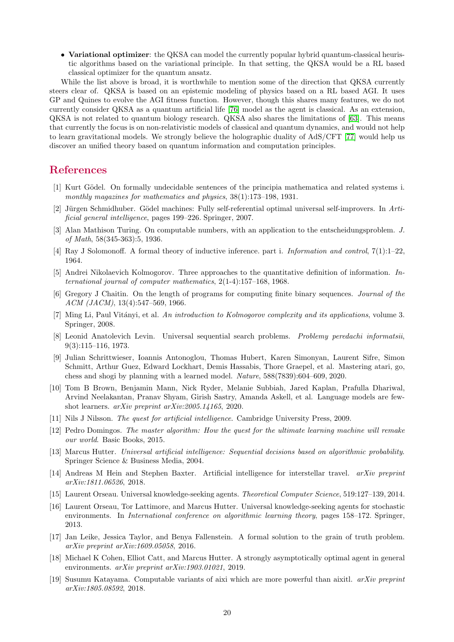• Variational optimizer: the QKSA can model the currently popular hybrid quantum-classical heuristic algorithms based on the variational principle. In that setting, the QKSA would be a RL based classical optimizer for the quantum ansatz.

While the list above is broad, it is worthwhile to mention some of the direction that QKSA currently steers clear of. QKSA is based on an epistemic modeling of physics based on a RL based AGI. It uses GP and Quines to evolve the AGI fitness function. However, though this shares many features, we do not currently consider QKSA as a quantum artificial life [\[76\]](#page-22-2) model as the agent is classical. As an extension, QKSA is not related to quantum biology research. QKSA also shares the limitations of [\[63\]](#page-21-15). This means that currently the focus is on non-relativistic models of classical and quantum dynamics, and would not help to learn gravitational models. We strongly believe the holographic duality of AdS/CFT [\[77\]](#page-22-3) would help us discover an unified theory based on quantum information and computation principles.

## <span id="page-19-0"></span>References

- [1] Kurt Gödel. On formally undecidable sentences of the principia mathematica and related systems i. *monthly magazines for mathematics and physics*, 38(1):173–198, 1931.
- <span id="page-19-1"></span>[2] Jürgen Schmidhuber. Gödel machines: Fully self-referential optimal universal self-improvers. In *Artificial general intelligence*, pages 199–226. Springer, 2007.
- <span id="page-19-2"></span>[3] Alan Mathison Turing. On computable numbers, with an application to the entscheidungsproblem. *J. of Math*, 58(345-363):5, 1936.
- <span id="page-19-3"></span>[4] Ray J Solomonoff. A formal theory of inductive inference. part i. *Information and control*, 7(1):1–22, 1964.
- <span id="page-19-4"></span>[5] Andrei Nikolaevich Kolmogorov. Three approaches to the quantitative definition of information. *International journal of computer mathematics*, 2(1-4):157–168, 1968.
- <span id="page-19-5"></span>[6] Gregory J Chaitin. On the length of programs for computing finite binary sequences. *Journal of the ACM (JACM)*, 13(4):547–569, 1966.
- <span id="page-19-6"></span>[7] Ming Li, Paul Vitányi, et al. *An introduction to Kolmogorov complexity and its applications*, volume 3. Springer, 2008.
- <span id="page-19-7"></span>[8] Leonid Anatolevich Levin. Universal sequential search problems. *Problemy peredachi informatsii*, 9(3):115–116, 1973.
- <span id="page-19-8"></span>[9] Julian Schrittwieser, Ioannis Antonoglou, Thomas Hubert, Karen Simonyan, Laurent Sifre, Simon Schmitt, Arthur Guez, Edward Lockhart, Demis Hassabis, Thore Graepel, et al. Mastering atari, go, chess and shogi by planning with a learned model. *Nature*, 588(7839):604–609, 2020.
- <span id="page-19-9"></span>[10] Tom B Brown, Benjamin Mann, Nick Ryder, Melanie Subbiah, Jared Kaplan, Prafulla Dhariwal, Arvind Neelakantan, Pranav Shyam, Girish Sastry, Amanda Askell, et al. Language models are fewshot learners. *arXiv preprint arXiv:2005.14165*, 2020.
- <span id="page-19-11"></span><span id="page-19-10"></span>[11] Nils J Nilsson. *The quest for artificial intelligence*. Cambridge University Press, 2009.
- [12] Pedro Domingos. *The master algorithm: How the quest for the ultimate learning machine will remake our world*. Basic Books, 2015.
- <span id="page-19-12"></span>[13] Marcus Hutter. *Universal artificial intelligence: Sequential decisions based on algorithmic probability*. Springer Science & Business Media, 2004.
- <span id="page-19-13"></span>[14] Andreas M Hein and Stephen Baxter. Artificial intelligence for interstellar travel. *arXiv preprint arXiv:1811.06526*, 2018.
- <span id="page-19-15"></span><span id="page-19-14"></span>[15] Laurent Orseau. Universal knowledge-seeking agents. *Theoretical Computer Science*, 519:127–139, 2014.
- [16] Laurent Orseau, Tor Lattimore, and Marcus Hutter. Universal knowledge-seeking agents for stochastic environments. In *International conference on algorithmic learning theory*, pages 158–172. Springer, 2013.
- <span id="page-19-16"></span>[17] Jan Leike, Jessica Taylor, and Benya Fallenstein. A formal solution to the grain of truth problem. *arXiv preprint arXiv:1609.05058*, 2016.
- <span id="page-19-17"></span>[18] Michael K Cohen, Elliot Catt, and Marcus Hutter. A strongly asymptotically optimal agent in general environments. *arXiv preprint arXiv:1903.01021*, 2019.
- <span id="page-19-18"></span>[19] Susumu Katayama. Computable variants of aixi which are more powerful than aixitl. *arXiv preprint arXiv:1805.08592*, 2018.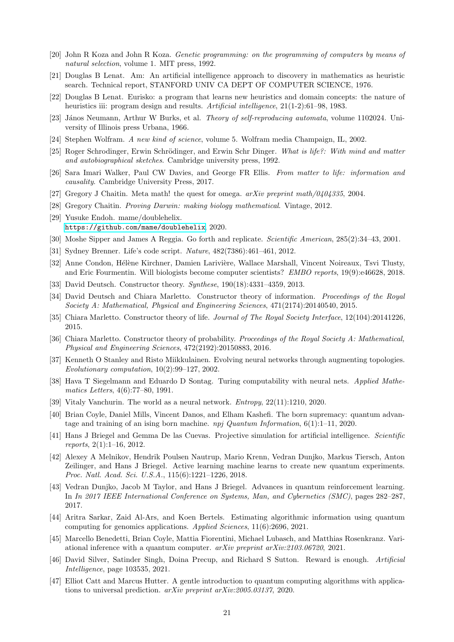- <span id="page-20-0"></span>[20] John R Koza and John R Koza. *Genetic programming: on the programming of computers by means of natural selection*, volume 1. MIT press, 1992.
- <span id="page-20-1"></span>[21] Douglas B Lenat. Am: An artificial intelligence approach to discovery in mathematics as heuristic search. Technical report, STANFORD UNIV CA DEPT OF COMPUTER SCIENCE, 1976.
- <span id="page-20-2"></span>[22] Douglas B Lenat. Eurisko: a program that learns new heuristics and domain concepts: the nature of heuristics iii: program design and results. *Artificial intelligence*, 21(1-2):61–98, 1983.
- <span id="page-20-3"></span>[23] János Neumann, Arthur W Burks, et al. *Theory of self-reproducing automata*, volume 1102024. University of Illinois press Urbana, 1966.
- <span id="page-20-5"></span><span id="page-20-4"></span>[24] Stephen Wolfram. *A new kind of science*, volume 5. Wolfram media Champaign, IL, 2002.
- [25] Roger Schrodinger, Erwin Schr¨odinger, and Erwin Schr Dinger. *What is life?: With mind and matter and autobiographical sketches*. Cambridge university press, 1992.
- <span id="page-20-6"></span>[26] Sara Imari Walker, Paul CW Davies, and George FR Ellis. *From matter to life: information and causality*. Cambridge University Press, 2017.
- <span id="page-20-8"></span><span id="page-20-7"></span>[27] Gregory J Chaitin. Meta math! the quest for omega. *arXiv preprint math/0404335*, 2004.
- <span id="page-20-9"></span>[28] Gregory Chaitin. *Proving Darwin: making biology mathematical*. Vintage, 2012.
- [29] Yusuke Endoh. mame/doublehelix. <https://github.com/mame/doublehelix>, 2020.
- <span id="page-20-11"></span><span id="page-20-10"></span>[30] Moshe Sipper and James A Reggia. Go forth and replicate. *Scientific American*, 285(2):34–43, 2001.
- <span id="page-20-12"></span>[31] Sydney Brenner. Life's code script. *Nature*, 482(7386):461–461, 2012.
- [32] Anne Condon, Hélène Kirchner, Damien Larivière, Wallace Marshall, Vincent Noireaux, Tsvi Tlusty, and Eric Fourmentin. Will biologists become computer scientists? *EMBO reports*, 19(9):e46628, 2018.
- <span id="page-20-14"></span><span id="page-20-13"></span>[33] David Deutsch. Constructor theory. *Synthese*, 190(18):4331–4359, 2013.
- [34] David Deutsch and Chiara Marletto. Constructor theory of information. *Proceedings of the Royal Society A: Mathematical, Physical and Engineering Sciences*, 471(2174):20140540, 2015.
- <span id="page-20-15"></span>[35] Chiara Marletto. Constructor theory of life. *Journal of The Royal Society Interface*, 12(104):20141226, 2015.
- <span id="page-20-16"></span>[36] Chiara Marletto. Constructor theory of probability. *Proceedings of the Royal Society A: Mathematical, Physical and Engineering Sciences*, 472(2192):20150883, 2016.
- <span id="page-20-17"></span>[37] Kenneth O Stanley and Risto Miikkulainen. Evolving neural networks through augmenting topologies. *Evolutionary computation*, 10(2):99–127, 2002.
- <span id="page-20-18"></span>[38] Hava T Siegelmann and Eduardo D Sontag. Turing computability with neural nets. *Applied Mathematics Letters*, 4(6):77–80, 1991.
- <span id="page-20-20"></span><span id="page-20-19"></span>[39] Vitaly Vanchurin. The world as a neural network. *Entropy*, 22(11):1210, 2020.
- [40] Brian Coyle, Daniel Mills, Vincent Danos, and Elham Kashefi. The born supremacy: quantum advantage and training of an ising born machine. *npj Quantum Information*, 6(1):1–11, 2020.
- <span id="page-20-21"></span>[41] Hans J Briegel and Gemma De las Cuevas. Projective simulation for artificial intelligence. *Scientific reports*, 2(1):1–16, 2012.
- <span id="page-20-22"></span>[42] Alexey A Melnikov, Hendrik Poulsen Nautrup, Mario Krenn, Vedran Dunjko, Markus Tiersch, Anton Zeilinger, and Hans J Briegel. Active learning machine learns to create new quantum experiments. *Proc. Natl. Acad. Sci. U.S.A.*, 115(6):1221–1226, 2018.
- <span id="page-20-23"></span>[43] Vedran Dunjko, Jacob M Taylor, and Hans J Briegel. Advances in quantum reinforcement learning. In *In 2017 IEEE International Conference on Systems, Man, and Cybernetics (SMC)*, pages 282–287, 2017.
- <span id="page-20-24"></span>[44] Aritra Sarkar, Zaid Al-Ars, and Koen Bertels. Estimating algorithmic information using quantum computing for genomics applications. *Applied Sciences*, 11(6):2696, 2021.
- <span id="page-20-25"></span>[45] Marcello Benedetti, Brian Coyle, Mattia Fiorentini, Michael Lubasch, and Matthias Rosenkranz. Variational inference with a quantum computer. *arXiv preprint arXiv:2103.06720*, 2021.
- <span id="page-20-26"></span>[46] David Silver, Satinder Singh, Doina Precup, and Richard S Sutton. Reward is enough. *Artificial Intelligence*, page 103535, 2021.
- <span id="page-20-27"></span>[47] Elliot Catt and Marcus Hutter. A gentle introduction to quantum computing algorithms with applications to universal prediction. *arXiv preprint arXiv:2005.03137*, 2020.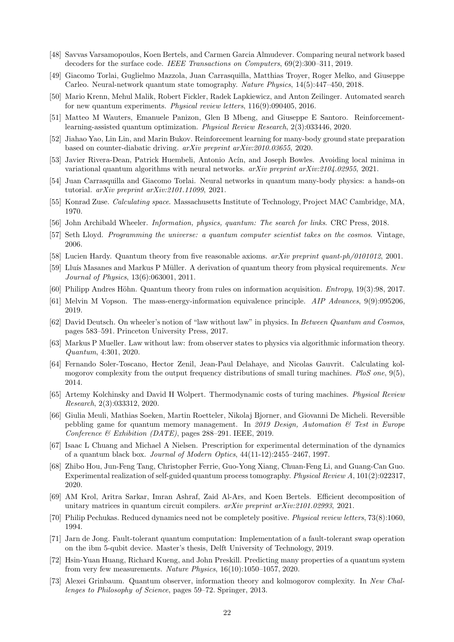- <span id="page-21-0"></span>[48] Savvas Varsamopoulos, Koen Bertels, and Carmen Garcia Almudever. Comparing neural network based decoders for the surface code. *IEEE Transactions on Computers*, 69(2):300–311, 2019.
- <span id="page-21-1"></span>[49] Giacomo Torlai, Guglielmo Mazzola, Juan Carrasquilla, Matthias Troyer, Roger Melko, and Giuseppe Carleo. Neural-network quantum state tomography. *Nature Physics*, 14(5):447–450, 2018.
- <span id="page-21-2"></span>[50] Mario Krenn, Mehul Malik, Robert Fickler, Radek Lapkiewicz, and Anton Zeilinger. Automated search for new quantum experiments. *Physical review letters*, 116(9):090405, 2016.
- <span id="page-21-3"></span>[51] Matteo M Wauters, Emanuele Panizon, Glen B Mbeng, and Giuseppe E Santoro. Reinforcementlearning-assisted quantum optimization. *Physical Review Research*, 2(3):033446, 2020.
- <span id="page-21-4"></span>[52] Jiahao Yao, Lin Lin, and Marin Bukov. Reinforcement learning for many-body ground state preparation based on counter-diabatic driving. *arXiv preprint arXiv:2010.03655*, 2020.
- <span id="page-21-5"></span>[53] Javier Rivera-Dean, Patrick Huembeli, Antonio Acín, and Joseph Bowles. Avoiding local minima in variational quantum algorithms with neural networks. *arXiv preprint arXiv:2104.02955*, 2021.
- <span id="page-21-6"></span>[54] Juan Carrasquilla and Giacomo Torlai. Neural networks in quantum many-body physics: a hands-on tutorial. *arXiv preprint arXiv:2101.11099*, 2021.
- <span id="page-21-7"></span>[55] Konrad Zuse. *Calculating space*. Massachusetts Institute of Technology, Project MAC Cambridge, MA, 1970.
- <span id="page-21-9"></span><span id="page-21-8"></span>[56] John Archibald Wheeler. *Information, physics, quantum: The search for links*. CRC Press, 2018.
- <span id="page-21-10"></span>[57] Seth Lloyd. *Programming the universe: a quantum computer scientist takes on the cosmos*. Vintage, 2006.
- <span id="page-21-11"></span>[58] Lucien Hardy. Quantum theory from five reasonable axioms. *arXiv preprint quant-ph/0101012*, 2001.
- [59] Lluís Masanes and Markus P Müller. A derivation of quantum theory from physical requirements. *New Journal of Physics*, 13(6):063001, 2011.
- <span id="page-21-13"></span><span id="page-21-12"></span>[60] Philipp Andres Höhn. Quantum theory from rules on information acquisition. *Entropy*, 19(3):98, 2017.
- <span id="page-21-14"></span>[61] Melvin M Vopson. The mass-energy-information equivalence principle. *AIP Advances*, 9(9):095206, 2019.
- [62] David Deutsch. On wheeler's notion of "law without law" in physics. In *Between Quantum and Cosmos*, pages 583–591. Princeton University Press, 2017.
- <span id="page-21-15"></span>[63] Markus P Mueller. Law without law: from observer states to physics via algorithmic information theory. *Quantum*, 4:301, 2020.
- <span id="page-21-16"></span>[64] Fernando Soler-Toscano, Hector Zenil, Jean-Paul Delahaye, and Nicolas Gauvrit. Calculating kolmogorov complexity from the output frequency distributions of small turing machines. *PloS one*, 9(5), 2014.
- <span id="page-21-17"></span>[65] Artemy Kolchinsky and David H Wolpert. Thermodynamic costs of turing machines. *Physical Review Research*, 2(3):033312, 2020.
- <span id="page-21-18"></span>[66] Giulia Meuli, Mathias Soeken, Martin Roetteler, Nikolaj Bjorner, and Giovanni De Micheli. Reversible pebbling game for quantum memory management. In *2019 Design, Automation & Test in Europe Conference & Exhibition (DATE)*, pages 288–291. IEEE, 2019.
- <span id="page-21-19"></span>[67] Isaac L Chuang and Michael A Nielsen. Prescription for experimental determination of the dynamics of a quantum black box. *Journal of Modern Optics*, 44(11-12):2455–2467, 1997.
- <span id="page-21-20"></span>[68] Zhibo Hou, Jun-Feng Tang, Christopher Ferrie, Guo-Yong Xiang, Chuan-Feng Li, and Guang-Can Guo. Experimental realization of self-guided quantum process tomography. *Physical Review A*, 101(2):022317, 2020.
- <span id="page-21-21"></span>[69] AM Krol, Aritra Sarkar, Imran Ashraf, Zaid Al-Ars, and Koen Bertels. Efficient decomposition of unitary matrices in quantum circuit compilers. *arXiv preprint arXiv:2101.02993*, 2021.
- <span id="page-21-22"></span>[70] Philip Pechukas. Reduced dynamics need not be completely positive. *Physical review letters*, 73(8):1060, 1994.
- <span id="page-21-23"></span>[71] Jarn de Jong. Fault-tolerant quantum computation: Implementation of a fault-tolerant swap operation on the ibm 5-qubit device. Master's thesis, Delft University of Technology, 2019.
- <span id="page-21-24"></span>[72] Hsin-Yuan Huang, Richard Kueng, and John Preskill. Predicting many properties of a quantum system from very few measurements. *Nature Physics*, 16(10):1050–1057, 2020.
- <span id="page-21-25"></span>[73] Alexei Grinbaum. Quantum observer, information theory and kolmogorov complexity. In *New Challenges to Philosophy of Science*, pages 59–72. Springer, 2013.